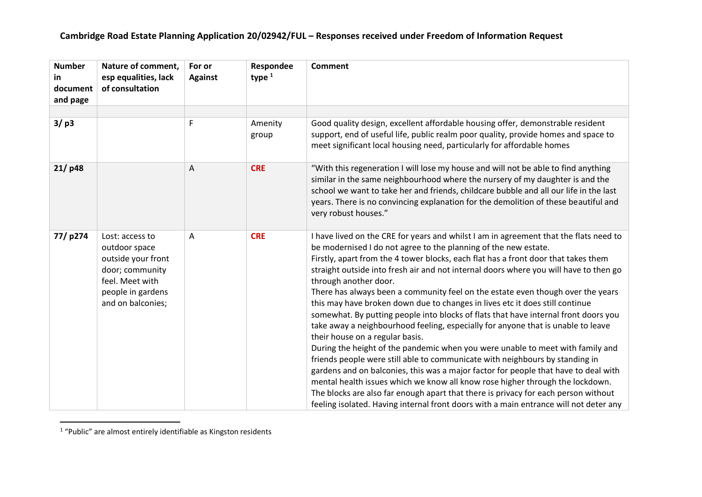| <b>Number</b><br>in<br>document<br>and page | Nature of comment,<br>esp equalities, lack<br>of consultation                                                                          | For or<br><b>Against</b> | Respondee<br>type $1$ | Comment                                                                                                                                                                                                                                                                                                                                                                                                                                                                                                                                                                                                                                                                                                                                                                                                                                                                                                                                                                                                                                                                                                                                                                                                                                                                    |
|---------------------------------------------|----------------------------------------------------------------------------------------------------------------------------------------|--------------------------|-----------------------|----------------------------------------------------------------------------------------------------------------------------------------------------------------------------------------------------------------------------------------------------------------------------------------------------------------------------------------------------------------------------------------------------------------------------------------------------------------------------------------------------------------------------------------------------------------------------------------------------------------------------------------------------------------------------------------------------------------------------------------------------------------------------------------------------------------------------------------------------------------------------------------------------------------------------------------------------------------------------------------------------------------------------------------------------------------------------------------------------------------------------------------------------------------------------------------------------------------------------------------------------------------------------|
|                                             |                                                                                                                                        |                          |                       |                                                                                                                                                                                                                                                                                                                                                                                                                                                                                                                                                                                                                                                                                                                                                                                                                                                                                                                                                                                                                                                                                                                                                                                                                                                                            |
| 3/p3                                        |                                                                                                                                        | F                        | Amenity<br>group      | Good quality design, excellent affordable housing offer, demonstrable resident<br>support, end of useful life, public realm poor quality, provide homes and space to<br>meet significant local housing need, particularly for affordable homes                                                                                                                                                                                                                                                                                                                                                                                                                                                                                                                                                                                                                                                                                                                                                                                                                                                                                                                                                                                                                             |
| 21/p48                                      |                                                                                                                                        | A                        | <b>CRE</b>            | "With this regeneration I will lose my house and will not be able to find anything<br>similar in the same neighbourhood where the nursery of my daughter is and the<br>school we want to take her and friends, childcare bubble and all our life in the last<br>years. There is no convincing explanation for the demolition of these beautiful and<br>very robust houses."                                                                                                                                                                                                                                                                                                                                                                                                                                                                                                                                                                                                                                                                                                                                                                                                                                                                                                |
| 77/p274                                     | Lost: access to<br>outdoor space<br>outside your front<br>door; community<br>feel. Meet with<br>people in gardens<br>and on balconies; | A                        | <b>CRE</b>            | I have lived on the CRE for years and whilst I am in agreement that the flats need to<br>be modernised I do not agree to the planning of the new estate.<br>Firstly, apart from the 4 tower blocks, each flat has a front door that takes them<br>straight outside into fresh air and not internal doors where you will have to then go<br>through another door.<br>There has always been a community feel on the estate even though over the years<br>this may have broken down due to changes in lives etc it does still continue<br>somewhat. By putting people into blocks of flats that have internal front doors you<br>take away a neighbourhood feeling, especially for anyone that is unable to leave<br>their house on a regular basis.<br>During the height of the pandemic when you were unable to meet with family and<br>friends people were still able to communicate with neighbours by standing in<br>gardens and on balconies, this was a major factor for people that have to deal with<br>mental health issues which we know all know rose higher through the lockdown.<br>The blocks are also far enough apart that there is privacy for each person without<br>feeling isolated. Having internal front doors with a main entrance will not deter any |

<sup>&</sup>lt;sup>1</sup> "Public" are almost entirely identifiable as Kingston residents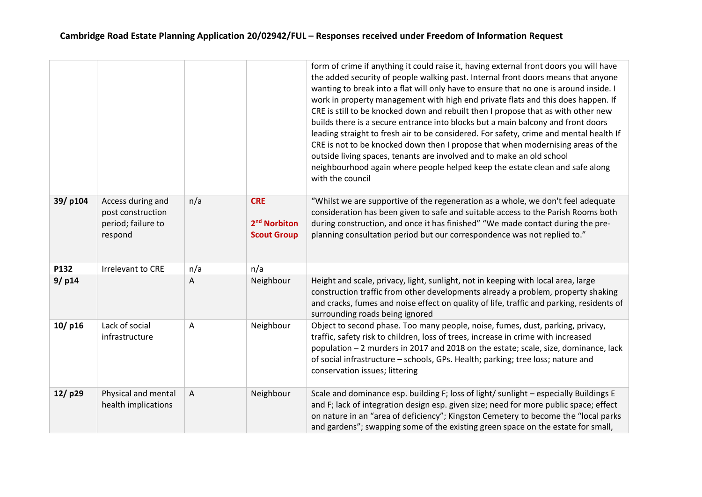|           |                                                                         |     |                                                              | form of crime if anything it could raise it, having external front doors you will have<br>the added security of people walking past. Internal front doors means that anyone<br>wanting to break into a flat will only have to ensure that no one is around inside. I<br>work in property management with high end private flats and this does happen. If<br>CRE is still to be knocked down and rebuilt then I propose that as with other new<br>builds there is a secure entrance into blocks but a main balcony and front doors<br>leading straight to fresh air to be considered. For safety, crime and mental health If<br>CRE is not to be knocked down then I propose that when modernising areas of the<br>outside living spaces, tenants are involved and to make an old school<br>neighbourhood again where people helped keep the estate clean and safe along<br>with the council |
|-----------|-------------------------------------------------------------------------|-----|--------------------------------------------------------------|---------------------------------------------------------------------------------------------------------------------------------------------------------------------------------------------------------------------------------------------------------------------------------------------------------------------------------------------------------------------------------------------------------------------------------------------------------------------------------------------------------------------------------------------------------------------------------------------------------------------------------------------------------------------------------------------------------------------------------------------------------------------------------------------------------------------------------------------------------------------------------------------|
| 39/p104   | Access during and<br>post construction<br>period; failure to<br>respond | n/a | <b>CRE</b><br>2 <sup>nd</sup> Norbiton<br><b>Scout Group</b> | "Whilst we are supportive of the regeneration as a whole, we don't feel adequate<br>consideration has been given to safe and suitable access to the Parish Rooms both<br>during construction, and once it has finished" "We made contact during the pre-<br>planning consultation period but our correspondence was not replied to."                                                                                                                                                                                                                                                                                                                                                                                                                                                                                                                                                        |
| P132      | <b>Irrelevant to CRE</b>                                                | n/a | n/a                                                          |                                                                                                                                                                                                                                                                                                                                                                                                                                                                                                                                                                                                                                                                                                                                                                                                                                                                                             |
| 9/p14     |                                                                         | Α   | Neighbour                                                    | Height and scale, privacy, light, sunlight, not in keeping with local area, large<br>construction traffic from other developments already a problem, property shaking<br>and cracks, fumes and noise effect on quality of life, traffic and parking, residents of<br>surrounding roads being ignored                                                                                                                                                                                                                                                                                                                                                                                                                                                                                                                                                                                        |
| $10/$ p16 | Lack of social<br>infrastructure                                        | A   | Neighbour                                                    | Object to second phase. Too many people, noise, fumes, dust, parking, privacy,<br>traffic, safety risk to children, loss of trees, increase in crime with increased<br>population - 2 murders in 2017 and 2018 on the estate; scale, size, dominance, lack<br>of social infrastructure - schools, GPs. Health; parking; tree loss; nature and<br>conservation issues; littering                                                                                                                                                                                                                                                                                                                                                                                                                                                                                                             |
| 12/p29    | Physical and mental<br>health implications                              | A   | Neighbour                                                    | Scale and dominance esp. building F; loss of light/ sunlight - especially Buildings E<br>and F; lack of integration design esp. given size; need for more public space; effect<br>on nature in an "area of deficiency"; Kingston Cemetery to become the "local parks<br>and gardens"; swapping some of the existing green space on the estate for small,                                                                                                                                                                                                                                                                                                                                                                                                                                                                                                                                    |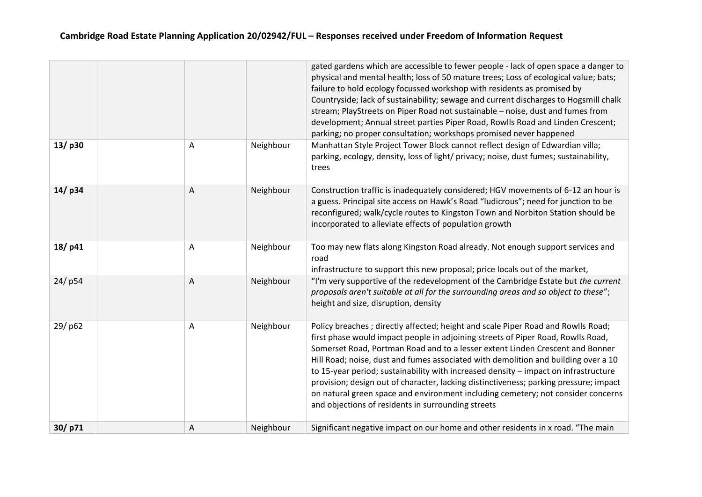|        |           |           | gated gardens which are accessible to fewer people - lack of open space a danger to<br>physical and mental health; loss of 50 mature trees; Loss of ecological value; bats;<br>failure to hold ecology focussed workshop with residents as promised by<br>Countryside; lack of sustainability; sewage and current discharges to Hogsmill chalk<br>stream; PlayStreets on Piper Road not sustainable - noise, dust and fumes from<br>development; Annual street parties Piper Road, Rowlls Road and Linden Crescent;<br>parking; no proper consultation; workshops promised never happened                                                                             |
|--------|-----------|-----------|-----------------------------------------------------------------------------------------------------------------------------------------------------------------------------------------------------------------------------------------------------------------------------------------------------------------------------------------------------------------------------------------------------------------------------------------------------------------------------------------------------------------------------------------------------------------------------------------------------------------------------------------------------------------------|
| 13/p30 | Α         | Neighbour | Manhattan Style Project Tower Block cannot reflect design of Edwardian villa;<br>parking, ecology, density, loss of light/ privacy; noise, dust fumes; sustainability,<br>trees                                                                                                                                                                                                                                                                                                                                                                                                                                                                                       |
| 14/p34 | $\Lambda$ | Neighbour | Construction traffic is inadequately considered; HGV movements of 6-12 an hour is<br>a guess. Principal site access on Hawk's Road "ludicrous"; need for junction to be<br>reconfigured; walk/cycle routes to Kingston Town and Norbiton Station should be<br>incorporated to alleviate effects of population growth                                                                                                                                                                                                                                                                                                                                                  |
| 18/p41 | A         | Neighbour | Too may new flats along Kingston Road already. Not enough support services and<br>road<br>infrastructure to support this new proposal; price locals out of the market,                                                                                                                                                                                                                                                                                                                                                                                                                                                                                                |
| 24/p54 | A         | Neighbour | "I'm very supportive of the redevelopment of the Cambridge Estate but the current<br>proposals aren't suitable at all for the surrounding areas and so object to these";<br>height and size, disruption, density                                                                                                                                                                                                                                                                                                                                                                                                                                                      |
| 29/p62 | A         | Neighbour | Policy breaches; directly affected; height and scale Piper Road and Rowlls Road;<br>first phase would impact people in adjoining streets of Piper Road, Rowlls Road,<br>Somerset Road, Portman Road and to a lesser extent Linden Crescent and Bonner<br>Hill Road; noise, dust and fumes associated with demolition and building over a 10<br>to 15-year period; sustainability with increased density - impact on infrastructure<br>provision; design out of character, lacking distinctiveness; parking pressure; impact<br>on natural green space and environment including cemetery; not consider concerns<br>and objections of residents in surrounding streets |
| 30/p71 | Α         | Neighbour | Significant negative impact on our home and other residents in x road. "The main                                                                                                                                                                                                                                                                                                                                                                                                                                                                                                                                                                                      |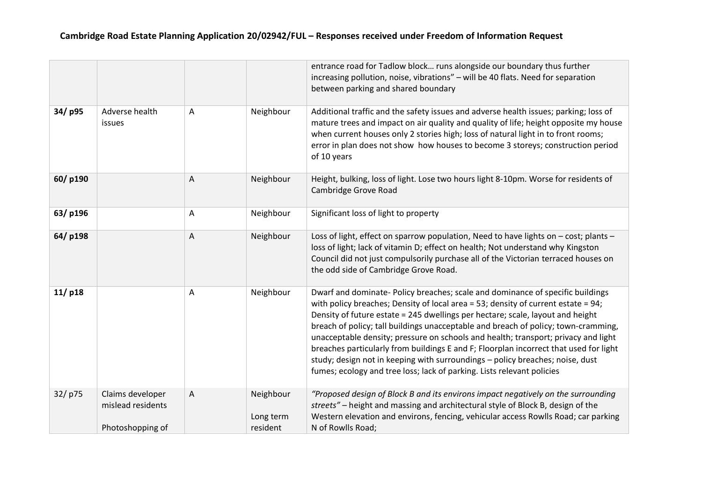|         |                                                           |           |                                    | entrance road for Tadlow block runs alongside our boundary thus further<br>increasing pollution, noise, vibrations" - will be 40 flats. Need for separation<br>between parking and shared boundary                                                                                                                                                                                                                                                                                                                                                                                                                                                                                       |
|---------|-----------------------------------------------------------|-----------|------------------------------------|------------------------------------------------------------------------------------------------------------------------------------------------------------------------------------------------------------------------------------------------------------------------------------------------------------------------------------------------------------------------------------------------------------------------------------------------------------------------------------------------------------------------------------------------------------------------------------------------------------------------------------------------------------------------------------------|
| 34/p95  | Adverse health<br>issues                                  | A         | Neighbour                          | Additional traffic and the safety issues and adverse health issues; parking; loss of<br>mature trees and impact on air quality and quality of life; height opposite my house<br>when current houses only 2 stories high; loss of natural light in to front rooms;<br>error in plan does not show how houses to become 3 storeys; construction period<br>of 10 years                                                                                                                                                                                                                                                                                                                      |
| 60/p190 |                                                           | A         | Neighbour                          | Height, bulking, loss of light. Lose two hours light 8-10pm. Worse for residents of<br>Cambridge Grove Road                                                                                                                                                                                                                                                                                                                                                                                                                                                                                                                                                                              |
| 63/p196 |                                                           | A         | Neighbour                          | Significant loss of light to property                                                                                                                                                                                                                                                                                                                                                                                                                                                                                                                                                                                                                                                    |
| 64/p198 |                                                           | $\Lambda$ | Neighbour                          | Loss of light, effect on sparrow population, Need to have lights on - cost; plants -<br>loss of light; lack of vitamin D; effect on health; Not understand why Kingston<br>Council did not just compulsorily purchase all of the Victorian terraced houses on<br>the odd side of Cambridge Grove Road.                                                                                                                                                                                                                                                                                                                                                                                   |
| 11/p18  |                                                           | A         | Neighbour                          | Dwarf and dominate- Policy breaches; scale and dominance of specific buildings<br>with policy breaches; Density of local area = 53; density of current estate = $94$ ;<br>Density of future estate = 245 dwellings per hectare; scale, layout and height<br>breach of policy; tall buildings unacceptable and breach of policy; town-cramming,<br>unacceptable density; pressure on schools and health; transport; privacy and light<br>breaches particularly from buildings E and F; Floorplan incorrect that used for light<br>study; design not in keeping with surroundings - policy breaches; noise, dust<br>fumes; ecology and tree loss; lack of parking. Lists relevant policies |
| 32/p75  | Claims developer<br>mislead residents<br>Photoshopping of | A         | Neighbour<br>Long term<br>resident | "Proposed design of Block B and its environs impact negatively on the surrounding<br>streets" - height and massing and architectural style of Block B, design of the<br>Western elevation and environs, fencing, vehicular access Rowlls Road; car parking<br>N of Rowlls Road;                                                                                                                                                                                                                                                                                                                                                                                                          |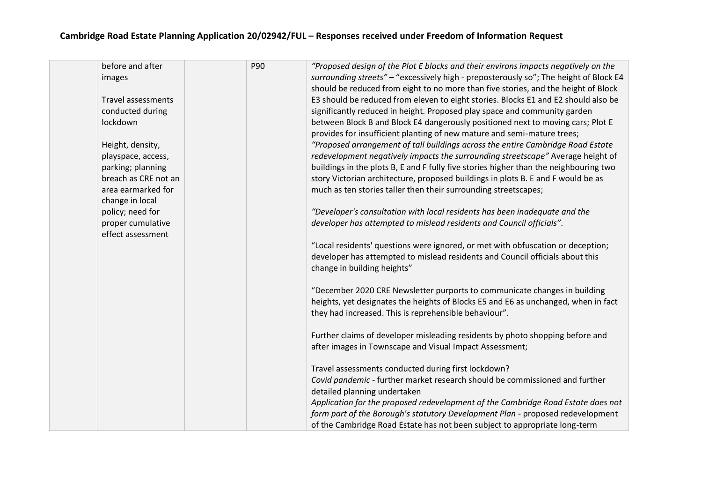| before and after          | P90 | "Proposed design of the Plot E blocks and their environs impacts negatively on the    |
|---------------------------|-----|---------------------------------------------------------------------------------------|
| images                    |     | surrounding streets" - "excessively high - preposterously so"; The height of Block E4 |
|                           |     | should be reduced from eight to no more than five stories, and the height of Block    |
| <b>Travel assessments</b> |     | E3 should be reduced from eleven to eight stories. Blocks E1 and E2 should also be    |
| conducted during          |     | significantly reduced in height. Proposed play space and community garden             |
| lockdown                  |     | between Block B and Block E4 dangerously positioned next to moving cars; Plot E       |
|                           |     | provides for insufficient planting of new mature and semi-mature trees;               |
| Height, density,          |     | "Proposed arrangement of tall buildings across the entire Cambridge Road Estate       |
| playspace, access,        |     | redevelopment negatively impacts the surrounding streetscape" Average height of       |
| parking; planning         |     | buildings in the plots B, E and F fully five stories higher than the neighbouring two |
| breach as CRE not an      |     | story Victorian architecture, proposed buildings in plots B. E and F would be as      |
| area earmarked for        |     | much as ten stories taller then their surrounding streetscapes;                       |
| change in local           |     |                                                                                       |
| policy; need for          |     | "Developer's consultation with local residents has been inadequate and the            |
| proper cumulative         |     | developer has attempted to mislead residents and Council officials".                  |
| effect assessment         |     |                                                                                       |
|                           |     | "Local residents' questions were ignored, or met with obfuscation or deception;       |
|                           |     | developer has attempted to mislead residents and Council officials about this         |
|                           |     | change in building heights"                                                           |
|                           |     |                                                                                       |
|                           |     | "December 2020 CRE Newsletter purports to communicate changes in building             |
|                           |     | heights, yet designates the heights of Blocks E5 and E6 as unchanged, when in fact    |
|                           |     | they had increased. This is reprehensible behaviour".                                 |
|                           |     | Further claims of developer misleading residents by photo shopping before and         |
|                           |     | after images in Townscape and Visual Impact Assessment;                               |
|                           |     |                                                                                       |
|                           |     | Travel assessments conducted during first lockdown?                                   |
|                           |     | Covid pandemic - further market research should be commissioned and further           |
|                           |     | detailed planning undertaken                                                          |
|                           |     | Application for the proposed redevelopment of the Cambridge Road Estate does not      |
|                           |     | form part of the Borough's statutory Development Plan - proposed redevelopment        |
|                           |     | of the Cambridge Road Estate has not been subject to appropriate long-term            |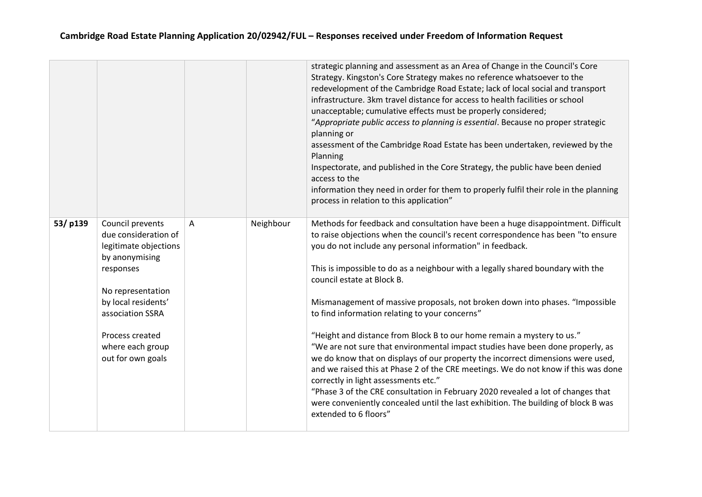|         |                                                                                                                                                                                                                              |                |           | strategic planning and assessment as an Area of Change in the Council's Core<br>Strategy. Kingston's Core Strategy makes no reference whatsoever to the<br>redevelopment of the Cambridge Road Estate; lack of local social and transport<br>infrastructure. 3km travel distance for access to health facilities or school<br>unacceptable; cumulative effects must be properly considered;<br>"Appropriate public access to planning is essential. Because no proper strategic<br>planning or<br>assessment of the Cambridge Road Estate has been undertaken, reviewed by the<br>Planning<br>Inspectorate, and published in the Core Strategy, the public have been denied<br>access to the<br>information they need in order for them to properly fulfil their role in the planning<br>process in relation to this application"                                                                                                                                                                                                                                    |
|---------|------------------------------------------------------------------------------------------------------------------------------------------------------------------------------------------------------------------------------|----------------|-----------|----------------------------------------------------------------------------------------------------------------------------------------------------------------------------------------------------------------------------------------------------------------------------------------------------------------------------------------------------------------------------------------------------------------------------------------------------------------------------------------------------------------------------------------------------------------------------------------------------------------------------------------------------------------------------------------------------------------------------------------------------------------------------------------------------------------------------------------------------------------------------------------------------------------------------------------------------------------------------------------------------------------------------------------------------------------------|
| 53/p139 | Council prevents<br>due consideration of<br>legitimate objections<br>by anonymising<br>responses<br>No representation<br>by local residents'<br>association SSRA<br>Process created<br>where each group<br>out for own goals | $\overline{A}$ | Neighbour | Methods for feedback and consultation have been a huge disappointment. Difficult<br>to raise objections when the council's recent correspondence has been "to ensure<br>you do not include any personal information" in feedback.<br>This is impossible to do as a neighbour with a legally shared boundary with the<br>council estate at Block B.<br>Mismanagement of massive proposals, not broken down into phases. "Impossible<br>to find information relating to your concerns"<br>"Height and distance from Block B to our home remain a mystery to us."<br>"We are not sure that environmental impact studies have been done properly, as<br>we do know that on displays of our property the incorrect dimensions were used,<br>and we raised this at Phase 2 of the CRE meetings. We do not know if this was done<br>correctly in light assessments etc."<br>"Phase 3 of the CRE consultation in February 2020 revealed a lot of changes that<br>were conveniently concealed until the last exhibition. The building of block B was<br>extended to 6 floors" |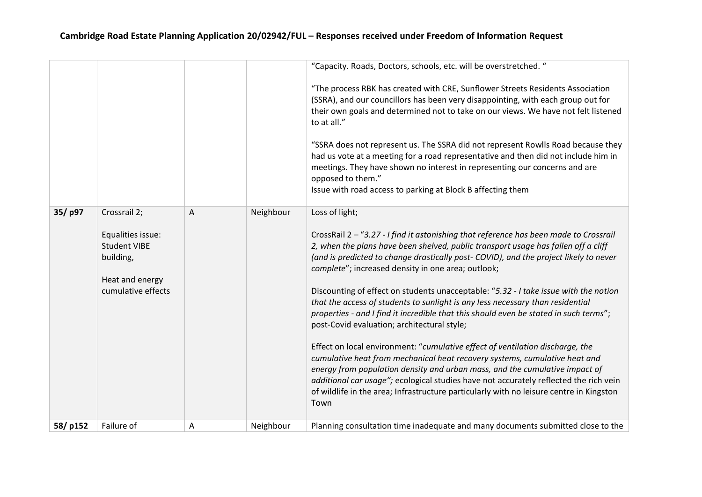|         |                                                                                                |   |           | "Capacity. Roads, Doctors, schools, etc. will be overstretched. "                                                                                                                                                                                                                                                                                                                                                                                                                                                                                                                                                                            |
|---------|------------------------------------------------------------------------------------------------|---|-----------|----------------------------------------------------------------------------------------------------------------------------------------------------------------------------------------------------------------------------------------------------------------------------------------------------------------------------------------------------------------------------------------------------------------------------------------------------------------------------------------------------------------------------------------------------------------------------------------------------------------------------------------------|
|         |                                                                                                |   |           | "The process RBK has created with CRE, Sunflower Streets Residents Association<br>(SSRA), and our councillors has been very disappointing, with each group out for<br>their own goals and determined not to take on our views. We have not felt listened<br>to at all."                                                                                                                                                                                                                                                                                                                                                                      |
|         |                                                                                                |   |           | "SSRA does not represent us. The SSRA did not represent Rowlls Road because they<br>had us vote at a meeting for a road representative and then did not include him in<br>meetings. They have shown no interest in representing our concerns and are<br>opposed to them."<br>Issue with road access to parking at Block B affecting them                                                                                                                                                                                                                                                                                                     |
| 35/p97  | Crossrail 2;                                                                                   | A | Neighbour | Loss of light;                                                                                                                                                                                                                                                                                                                                                                                                                                                                                                                                                                                                                               |
|         | Equalities issue:<br><b>Student VIBE</b><br>building,<br>Heat and energy<br>cumulative effects |   |           | CrossRail 2 - "3.27 - I find it astonishing that reference has been made to Crossrail<br>2, when the plans have been shelved, public transport usage has fallen off a cliff<br>(and is predicted to change drastically post- COVID), and the project likely to never<br>complete"; increased density in one area; outlook;<br>Discounting of effect on students unacceptable: "5.32 - I take issue with the notion<br>that the access of students to sunlight is any less necessary than residential<br>properties - and I find it incredible that this should even be stated in such terms";<br>post-Covid evaluation; architectural style; |
|         |                                                                                                |   |           | Effect on local environment: "cumulative effect of ventilation discharge, the<br>cumulative heat from mechanical heat recovery systems, cumulative heat and<br>energy from population density and urban mass, and the cumulative impact of<br>additional car usage"; ecological studies have not accurately reflected the rich vein<br>of wildlife in the area; Infrastructure particularly with no leisure centre in Kingston<br>Town                                                                                                                                                                                                       |
| 58/p152 | Failure of                                                                                     | Α | Neighbour | Planning consultation time inadequate and many documents submitted close to the                                                                                                                                                                                                                                                                                                                                                                                                                                                                                                                                                              |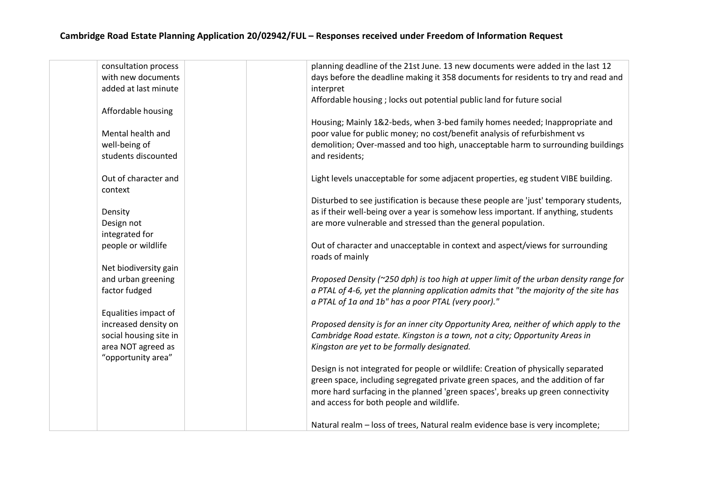| consultation process   | planning deadline of the 21st June. 13 new documents were added in the last 12                  |
|------------------------|-------------------------------------------------------------------------------------------------|
| with new documents     | days before the deadline making it 358 documents for residents to try and read and              |
| added at last minute   | interpret                                                                                       |
|                        | Affordable housing; locks out potential public land for future social                           |
| Affordable housing     |                                                                                                 |
|                        | Housing; Mainly 1&2-beds, when 3-bed family homes needed; Inappropriate and                     |
| Mental health and      | poor value for public money; no cost/benefit analysis of refurbishment vs                       |
| well-being of          | demolition; Over-massed and too high, unacceptable harm to surrounding buildings                |
| students discounted    | and residents;                                                                                  |
|                        |                                                                                                 |
| Out of character and   | Light levels unacceptable for some adjacent properties, eg student VIBE building.               |
| context                |                                                                                                 |
|                        | Disturbed to see justification is because these people are 'just' temporary students,           |
| Density                | as if their well-being over a year is somehow less important. If anything, students             |
| Design not             | are more vulnerable and stressed than the general population.                                   |
| integrated for         |                                                                                                 |
| people or wildlife     | Out of character and unacceptable in context and aspect/views for surrounding                   |
|                        | roads of mainly                                                                                 |
| Net biodiversity gain  |                                                                                                 |
| and urban greening     | Proposed Density ( $\approx$ 250 dph) is too high at upper limit of the urban density range for |
| factor fudged          | a PTAL of 4-6, yet the planning application admits that "the majority of the site has           |
|                        | a PTAL of 1a and 1b" has a poor PTAL (very poor)."                                              |
| Equalities impact of   |                                                                                                 |
| increased density on   | Proposed density is for an inner city Opportunity Area, neither of which apply to the           |
| social housing site in | Cambridge Road estate. Kingston is a town, not a city; Opportunity Areas in                     |
| area NOT agreed as     | Kingston are yet to be formally designated.                                                     |
| "opportunity area"     |                                                                                                 |
|                        | Design is not integrated for people or wildlife: Creation of physically separated               |
|                        | green space, including segregated private green spaces, and the addition of far                 |
|                        | more hard surfacing in the planned 'green spaces', breaks up green connectivity                 |
|                        | and access for both people and wildlife.                                                        |
|                        |                                                                                                 |
|                        | Natural realm - loss of trees, Natural realm evidence base is very incomplete;                  |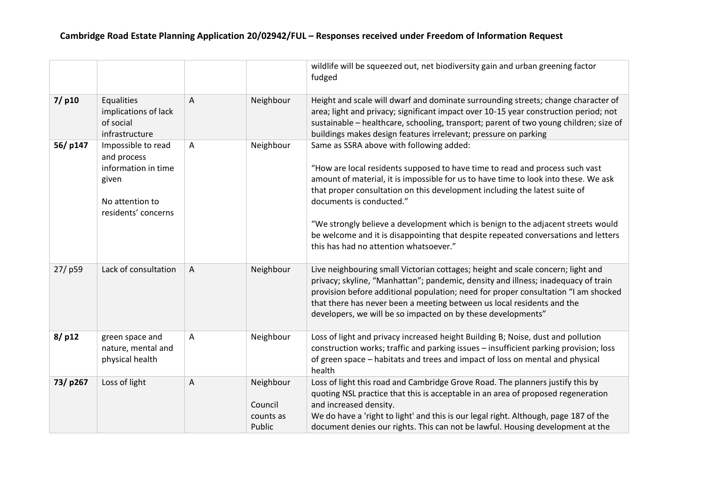|          |                                                                                                             |   |                                             | wildlife will be squeezed out, net biodiversity gain and urban greening factor<br>fudged                                                                                                                                                                                                                                                                                                                                                                                                                                                      |
|----------|-------------------------------------------------------------------------------------------------------------|---|---------------------------------------------|-----------------------------------------------------------------------------------------------------------------------------------------------------------------------------------------------------------------------------------------------------------------------------------------------------------------------------------------------------------------------------------------------------------------------------------------------------------------------------------------------------------------------------------------------|
| $7/$ p10 | Equalities<br>implications of lack<br>of social<br>infrastructure                                           | A | Neighbour                                   | Height and scale will dwarf and dominate surrounding streets; change character of<br>area; light and privacy; significant impact over 10-15 year construction period; not<br>sustainable - healthcare, schooling, transport; parent of two young children; size of<br>buildings makes design features irrelevant; pressure on parking                                                                                                                                                                                                         |
| 56/p147  | Impossible to read<br>and process<br>information in time<br>given<br>No attention to<br>residents' concerns | A | Neighbour                                   | Same as SSRA above with following added:<br>"How are local residents supposed to have time to read and process such vast<br>amount of material, it is impossible for us to have time to look into these. We ask<br>that proper consultation on this development including the latest suite of<br>documents is conducted."<br>"We strongly believe a development which is benign to the adjacent streets would<br>be welcome and it is disappointing that despite repeated conversations and letters<br>this has had no attention whatsoever." |
| 27/p59   | Lack of consultation                                                                                        | A | Neighbour                                   | Live neighbouring small Victorian cottages; height and scale concern; light and<br>privacy; skyline, "Manhattan"; pandemic, density and illness; inadequacy of train<br>provision before additional population; need for proper consultation "I am shocked<br>that there has never been a meeting between us local residents and the<br>developers, we will be so impacted on by these developments"                                                                                                                                          |
| 8/p12    | green space and<br>nature, mental and<br>physical health                                                    | Α | Neighbour                                   | Loss of light and privacy increased height Building B; Noise, dust and pollution<br>construction works; traffic and parking issues - insufficient parking provision; loss<br>of green space - habitats and trees and impact of loss on mental and physical<br>health                                                                                                                                                                                                                                                                          |
| 73/p267  | Loss of light                                                                                               | A | Neighbour<br>Council<br>counts as<br>Public | Loss of light this road and Cambridge Grove Road. The planners justify this by<br>quoting NSL practice that this is acceptable in an area of proposed regeneration<br>and increased density.<br>We do have a 'right to light' and this is our legal right. Although, page 187 of the<br>document denies our rights. This can not be lawful. Housing development at the                                                                                                                                                                        |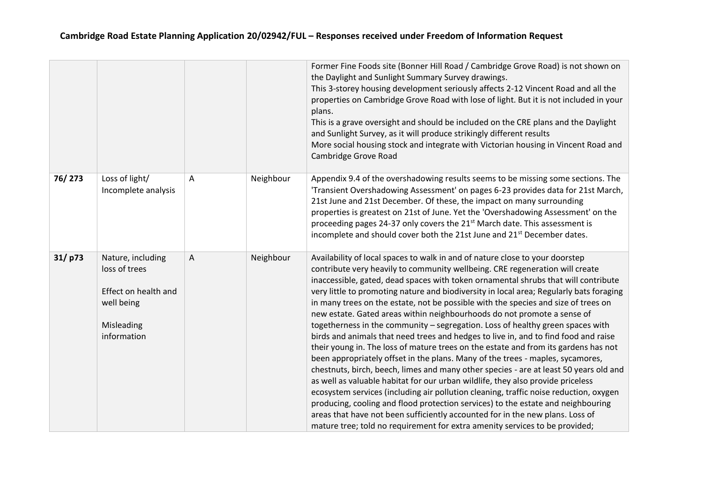|        |                                                                                                       |   |           | Former Fine Foods site (Bonner Hill Road / Cambridge Grove Road) is not shown on<br>the Daylight and Sunlight Summary Survey drawings.<br>This 3-storey housing development seriously affects 2-12 Vincent Road and all the<br>properties on Cambridge Grove Road with lose of light. But it is not included in your<br>plans.<br>This is a grave oversight and should be included on the CRE plans and the Daylight<br>and Sunlight Survey, as it will produce strikingly different results<br>More social housing stock and integrate with Victorian housing in Vincent Road and<br>Cambridge Grove Road                                                                                                                                                                                                                                                                                                                                                                                                                                                                                                                                                                                                                                                                                                                                                                                |
|--------|-------------------------------------------------------------------------------------------------------|---|-----------|-------------------------------------------------------------------------------------------------------------------------------------------------------------------------------------------------------------------------------------------------------------------------------------------------------------------------------------------------------------------------------------------------------------------------------------------------------------------------------------------------------------------------------------------------------------------------------------------------------------------------------------------------------------------------------------------------------------------------------------------------------------------------------------------------------------------------------------------------------------------------------------------------------------------------------------------------------------------------------------------------------------------------------------------------------------------------------------------------------------------------------------------------------------------------------------------------------------------------------------------------------------------------------------------------------------------------------------------------------------------------------------------|
| 76/273 | Loss of light/<br>Incomplete analysis                                                                 | A | Neighbour | Appendix 9.4 of the overshadowing results seems to be missing some sections. The<br>'Transient Overshadowing Assessment' on pages 6-23 provides data for 21st March,<br>21st June and 21st December. Of these, the impact on many surrounding<br>properties is greatest on 21st of June. Yet the 'Overshadowing Assessment' on the<br>proceeding pages 24-37 only covers the 21 <sup>st</sup> March date. This assessment is<br>incomplete and should cover both the 21st June and 21 <sup>st</sup> December dates.                                                                                                                                                                                                                                                                                                                                                                                                                                                                                                                                                                                                                                                                                                                                                                                                                                                                       |
| 31/p73 | Nature, including<br>loss of trees<br>Effect on health and<br>well being<br>Misleading<br>information | Α | Neighbour | Availability of local spaces to walk in and of nature close to your doorstep<br>contribute very heavily to community wellbeing. CRE regeneration will create<br>inaccessible, gated, dead spaces with token ornamental shrubs that will contribute<br>very little to promoting nature and biodiversity in local area; Regularly bats foraging<br>in many trees on the estate, not be possible with the species and size of trees on<br>new estate. Gated areas within neighbourhoods do not promote a sense of<br>togetherness in the community - segregation. Loss of healthy green spaces with<br>birds and animals that need trees and hedges to live in, and to find food and raise<br>their young in. The loss of mature trees on the estate and from its gardens has not<br>been appropriately offset in the plans. Many of the trees - maples, sycamores,<br>chestnuts, birch, beech, limes and many other species - are at least 50 years old and<br>as well as valuable habitat for our urban wildlife, they also provide priceless<br>ecosystem services (including air pollution cleaning, traffic noise reduction, oxygen<br>producing, cooling and flood protection services) to the estate and neighbouring<br>areas that have not been sufficiently accounted for in the new plans. Loss of<br>mature tree; told no requirement for extra amenity services to be provided; |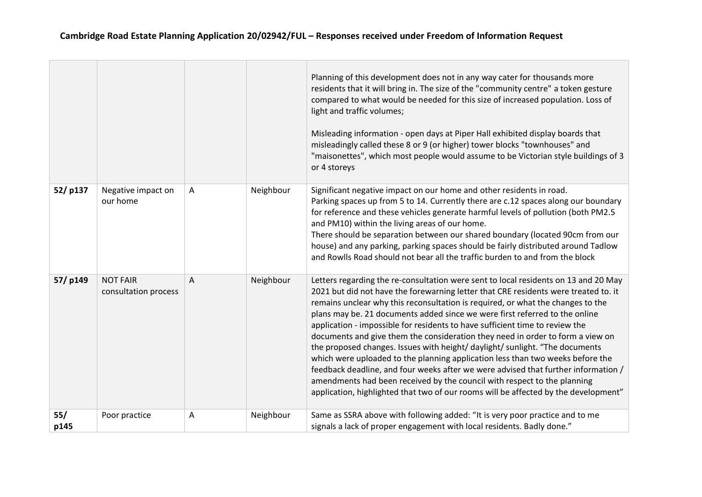|             |                                         |   |           | Planning of this development does not in any way cater for thousands more<br>residents that it will bring in. The size of the "community centre" a token gesture<br>compared to what would be needed for this size of increased population. Loss of<br>light and traffic volumes;<br>Misleading information - open days at Piper Hall exhibited display boards that<br>misleadingly called these 8 or 9 (or higher) tower blocks "townhouses" and<br>"maisonettes", which most people would assume to be Victorian style buildings of 3<br>or 4 storeys                                                                                                                                                                                                                                                                                                                                                                                   |
|-------------|-----------------------------------------|---|-----------|-------------------------------------------------------------------------------------------------------------------------------------------------------------------------------------------------------------------------------------------------------------------------------------------------------------------------------------------------------------------------------------------------------------------------------------------------------------------------------------------------------------------------------------------------------------------------------------------------------------------------------------------------------------------------------------------------------------------------------------------------------------------------------------------------------------------------------------------------------------------------------------------------------------------------------------------|
| 52/p137     | Negative impact on<br>our home          | Α | Neighbour | Significant negative impact on our home and other residents in road.<br>Parking spaces up from 5 to 14. Currently there are c.12 spaces along our boundary<br>for reference and these vehicles generate harmful levels of pollution (both PM2.5<br>and PM10) within the living areas of our home.<br>There should be separation between our shared boundary (located 90cm from our<br>house) and any parking, parking spaces should be fairly distributed around Tadlow<br>and Rowlls Road should not bear all the traffic burden to and from the block                                                                                                                                                                                                                                                                                                                                                                                   |
| 57/p149     | <b>NOT FAIR</b><br>consultation process | A | Neighbour | Letters regarding the re-consultation were sent to local residents on 13 and 20 May<br>2021 but did not have the forewarning letter that CRE residents were treated to. it<br>remains unclear why this reconsultation is required, or what the changes to the<br>plans may be. 21 documents added since we were first referred to the online<br>application - impossible for residents to have sufficient time to review the<br>documents and give them the consideration they need in order to form a view on<br>the proposed changes. Issues with height/ daylight/ sunlight. "The documents<br>which were uploaded to the planning application less than two weeks before the<br>feedback deadline, and four weeks after we were advised that further information /<br>amendments had been received by the council with respect to the planning<br>application, highlighted that two of our rooms will be affected by the development" |
| 55/<br>p145 | Poor practice                           | Α | Neighbour | Same as SSRA above with following added: "It is very poor practice and to me<br>signals a lack of proper engagement with local residents. Badly done."                                                                                                                                                                                                                                                                                                                                                                                                                                                                                                                                                                                                                                                                                                                                                                                    |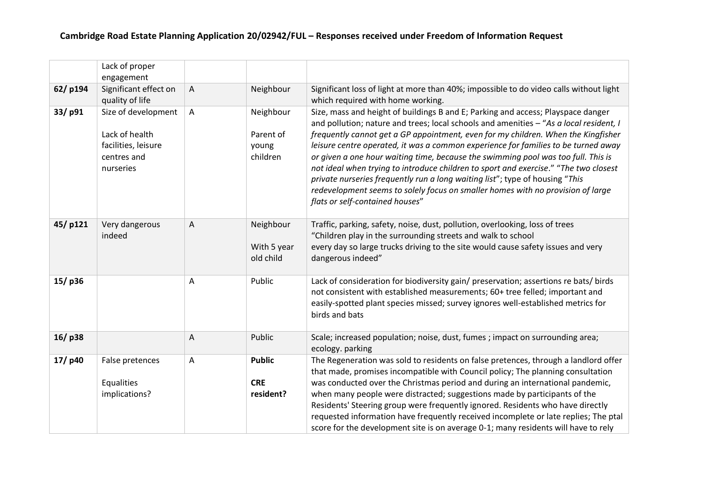|         | Lack of proper                                                                           |   |                                             |                                                                                                                                                                                                                                                                                                                                                                                                                                                                                                                                                                                                                                                                                                                                          |
|---------|------------------------------------------------------------------------------------------|---|---------------------------------------------|------------------------------------------------------------------------------------------------------------------------------------------------------------------------------------------------------------------------------------------------------------------------------------------------------------------------------------------------------------------------------------------------------------------------------------------------------------------------------------------------------------------------------------------------------------------------------------------------------------------------------------------------------------------------------------------------------------------------------------------|
|         | engagement                                                                               |   |                                             |                                                                                                                                                                                                                                                                                                                                                                                                                                                                                                                                                                                                                                                                                                                                          |
| 62/p194 | Significant effect on                                                                    | A | Neighbour                                   | Significant loss of light at more than 40%; impossible to do video calls without light                                                                                                                                                                                                                                                                                                                                                                                                                                                                                                                                                                                                                                                   |
|         | quality of life                                                                          |   |                                             | which required with home working.                                                                                                                                                                                                                                                                                                                                                                                                                                                                                                                                                                                                                                                                                                        |
| 33/p91  | Size of development<br>Lack of health<br>facilities, leisure<br>centres and<br>nurseries | A | Neighbour<br>Parent of<br>young<br>children | Size, mass and height of buildings B and E; Parking and access; Playspace danger<br>and pollution; nature and trees; local schools and amenities - "As a local resident, I<br>frequently cannot get a GP appointment, even for my children. When the Kingfisher<br>leisure centre operated, it was a common experience for families to be turned away<br>or given a one hour waiting time, because the swimming pool was too full. This is<br>not ideal when trying to introduce children to sport and exercise." "The two closest<br>private nurseries frequently run a long waiting list"; type of housing "This<br>redevelopment seems to solely focus on smaller homes with no provision of large<br>flats or self-contained houses" |
| 45/p121 | Very dangerous<br>indeed                                                                 | A | Neighbour<br>With 5 year<br>old child       | Traffic, parking, safety, noise, dust, pollution, overlooking, loss of trees<br>"Children play in the surrounding streets and walk to school<br>every day so large trucks driving to the site would cause safety issues and very<br>dangerous indeed"                                                                                                                                                                                                                                                                                                                                                                                                                                                                                    |
| 15/p36  |                                                                                          | A | Public                                      | Lack of consideration for biodiversity gain/preservation; assertions re bats/birds<br>not consistent with established measurements; 60+ tree felled; important and<br>easily-spotted plant species missed; survey ignores well-established metrics for<br>birds and bats                                                                                                                                                                                                                                                                                                                                                                                                                                                                 |
| 16/p38  |                                                                                          | A | Public                                      | Scale; increased population; noise, dust, fumes ; impact on surrounding area;<br>ecology. parking                                                                                                                                                                                                                                                                                                                                                                                                                                                                                                                                                                                                                                        |
| 17/p40  | False pretences<br>Equalities<br>implications?                                           | Α | <b>Public</b><br><b>CRE</b><br>resident?    | The Regeneration was sold to residents on false pretences, through a landlord offer<br>that made, promises incompatible with Council policy; The planning consultation<br>was conducted over the Christmas period and during an international pandemic,<br>when many people were distracted; suggestions made by participants of the<br>Residents' Steering group were frequently ignored. Residents who have directly<br>requested information have frequently received incomplete or late replies; The ptal<br>score for the development site is on average 0-1; many residents will have to rely                                                                                                                                      |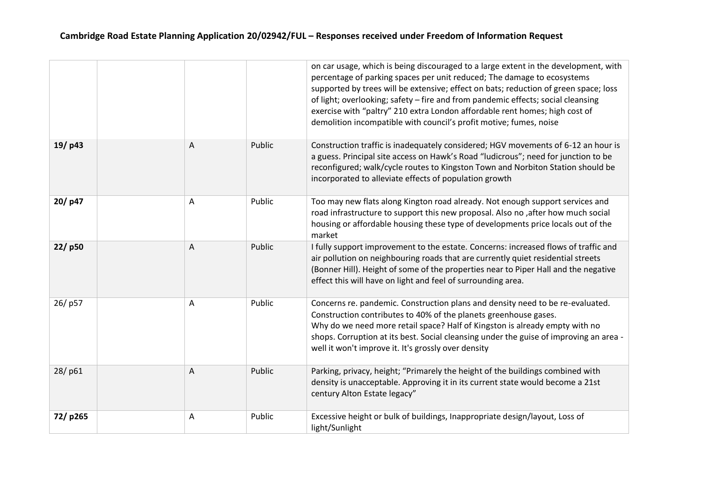|         |                |        | on car usage, which is being discouraged to a large extent in the development, with<br>percentage of parking spaces per unit reduced; The damage to ecosystems<br>supported by trees will be extensive; effect on bats; reduction of green space; loss<br>of light; overlooking; safety - fire and from pandemic effects; social cleansing<br>exercise with "paltry" 210 extra London affordable rent homes; high cost of<br>demolition incompatible with council's profit motive; fumes, noise |
|---------|----------------|--------|-------------------------------------------------------------------------------------------------------------------------------------------------------------------------------------------------------------------------------------------------------------------------------------------------------------------------------------------------------------------------------------------------------------------------------------------------------------------------------------------------|
| 19/p43  | A              | Public | Construction traffic is inadequately considered; HGV movements of 6-12 an hour is<br>a guess. Principal site access on Hawk's Road "ludicrous"; need for junction to be<br>reconfigured; walk/cycle routes to Kingston Town and Norbiton Station should be<br>incorporated to alleviate effects of population growth                                                                                                                                                                            |
| 20/p47  | Α              | Public | Too may new flats along Kington road already. Not enough support services and<br>road infrastructure to support this new proposal. Also no, after how much social<br>housing or affordable housing these type of developments price locals out of the<br>market                                                                                                                                                                                                                                 |
| 22/p50  | A              | Public | I fully support improvement to the estate. Concerns: increased flows of traffic and<br>air pollution on neighbouring roads that are currently quiet residential streets<br>(Bonner Hill). Height of some of the properties near to Piper Hall and the negative<br>effect this will have on light and feel of surrounding area.                                                                                                                                                                  |
| 26/p57  | A              | Public | Concerns re. pandemic. Construction plans and density need to be re-evaluated.<br>Construction contributes to 40% of the planets greenhouse gases.<br>Why do we need more retail space? Half of Kingston is already empty with no<br>shops. Corruption at its best. Social cleansing under the guise of improving an area -<br>well it won't improve it. It's grossly over density                                                                                                              |
| 28/p61  | $\overline{A}$ | Public | Parking, privacy, height; "Primarely the height of the buildings combined with<br>density is unacceptable. Approving it in its current state would become a 21st<br>century Alton Estate legacy"                                                                                                                                                                                                                                                                                                |
| 72/p265 | A              | Public | Excessive height or bulk of buildings, Inappropriate design/layout, Loss of<br>light/Sunlight                                                                                                                                                                                                                                                                                                                                                                                                   |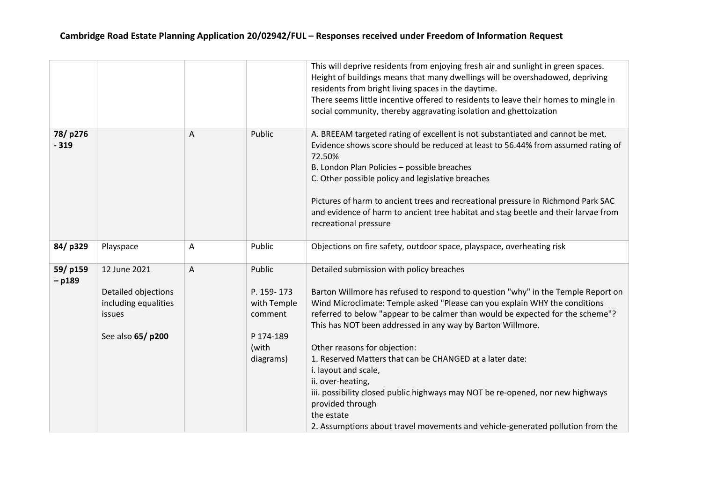|                     |                                                                                            |   |                                                                                   | This will deprive residents from enjoying fresh air and sunlight in green spaces.<br>Height of buildings means that many dwellings will be overshadowed, depriving<br>residents from bright living spaces in the daytime.<br>There seems little incentive offered to residents to leave their homes to mingle in<br>social community, thereby aggravating isolation and ghettoization                                                                                                                                                                                                                                   |
|---------------------|--------------------------------------------------------------------------------------------|---|-----------------------------------------------------------------------------------|-------------------------------------------------------------------------------------------------------------------------------------------------------------------------------------------------------------------------------------------------------------------------------------------------------------------------------------------------------------------------------------------------------------------------------------------------------------------------------------------------------------------------------------------------------------------------------------------------------------------------|
| 78/p276<br>$-319$   |                                                                                            | A | Public                                                                            | A. BREEAM targeted rating of excellent is not substantiated and cannot be met.<br>Evidence shows score should be reduced at least to 56.44% from assumed rating of<br>72.50%<br>B. London Plan Policies - possible breaches<br>C. Other possible policy and legislative breaches<br>Pictures of harm to ancient trees and recreational pressure in Richmond Park SAC<br>and evidence of harm to ancient tree habitat and stag beetle and their larvae from<br>recreational pressure                                                                                                                                     |
| 84/p329             | Playspace                                                                                  | A | Public                                                                            | Objections on fire safety, outdoor space, playspace, overheating risk                                                                                                                                                                                                                                                                                                                                                                                                                                                                                                                                                   |
| 59/p159<br>$-$ p189 | 12 June 2021<br>Detailed objections<br>including equalities<br>issues<br>See also 65/ p200 | A | Public<br>P. 159-173<br>with Temple<br>comment<br>P 174-189<br>(with<br>diagrams) | Detailed submission with policy breaches<br>Barton Willmore has refused to respond to question "why" in the Temple Report on<br>Wind Microclimate: Temple asked "Please can you explain WHY the conditions<br>referred to below "appear to be calmer than would be expected for the scheme"?<br>This has NOT been addressed in any way by Barton Willmore.<br>Other reasons for objection:<br>1. Reserved Matters that can be CHANGED at a later date:<br>i. layout and scale,<br>ii. over-heating,<br>iii. possibility closed public highways may NOT be re-opened, nor new highways<br>provided through<br>the estate |
|                     |                                                                                            |   |                                                                                   | 2. Assumptions about travel movements and vehicle-generated pollution from the                                                                                                                                                                                                                                                                                                                                                                                                                                                                                                                                          |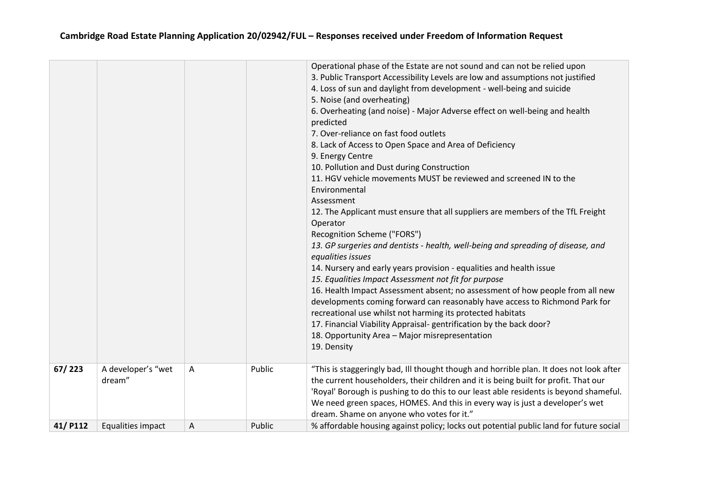|         |                              |   |        | Operational phase of the Estate are not sound and can not be relied upon<br>3. Public Transport Accessibility Levels are low and assumptions not justified<br>4. Loss of sun and daylight from development - well-being and suicide<br>5. Noise (and overheating)<br>6. Overheating (and noise) - Major Adverse effect on well-being and health<br>predicted<br>7. Over-reliance on fast food outlets<br>8. Lack of Access to Open Space and Area of Deficiency<br>9. Energy Centre<br>10. Pollution and Dust during Construction<br>11. HGV vehicle movements MUST be reviewed and screened IN to the<br>Environmental<br>Assessment<br>12. The Applicant must ensure that all suppliers are members of the TfL Freight<br>Operator<br>Recognition Scheme ("FORS")<br>13. GP surgeries and dentists - health, well-being and spreading of disease, and<br>equalities issues<br>14. Nursery and early years provision - equalities and health issue<br>15. Equalities Impact Assessment not fit for purpose<br>16. Health Impact Assessment absent; no assessment of how people from all new<br>developments coming forward can reasonably have access to Richmond Park for<br>recreational use whilst not harming its protected habitats<br>17. Financial Viability Appraisal-gentrification by the back door?<br>18. Opportunity Area - Major misrepresentation<br>19. Density |
|---------|------------------------------|---|--------|----------------------------------------------------------------------------------------------------------------------------------------------------------------------------------------------------------------------------------------------------------------------------------------------------------------------------------------------------------------------------------------------------------------------------------------------------------------------------------------------------------------------------------------------------------------------------------------------------------------------------------------------------------------------------------------------------------------------------------------------------------------------------------------------------------------------------------------------------------------------------------------------------------------------------------------------------------------------------------------------------------------------------------------------------------------------------------------------------------------------------------------------------------------------------------------------------------------------------------------------------------------------------------------------------------------------------------------------------------------------------------|
| 67/223  | A developer's "wet<br>dream" | Α | Public | "This is staggeringly bad, Ill thought though and horrible plan. It does not look after<br>the current householders, their children and it is being built for profit. That our                                                                                                                                                                                                                                                                                                                                                                                                                                                                                                                                                                                                                                                                                                                                                                                                                                                                                                                                                                                                                                                                                                                                                                                                   |
|         |                              |   |        | 'Royal' Borough is pushing to do this to our least able residents is beyond shameful.<br>We need green spaces, HOMES. And this in every way is just a developer's wet<br>dream. Shame on anyone who votes for it."                                                                                                                                                                                                                                                                                                                                                                                                                                                                                                                                                                                                                                                                                                                                                                                                                                                                                                                                                                                                                                                                                                                                                               |
| 41/P112 | Equalities impact            | A | Public | % affordable housing against policy; locks out potential public land for future social                                                                                                                                                                                                                                                                                                                                                                                                                                                                                                                                                                                                                                                                                                                                                                                                                                                                                                                                                                                                                                                                                                                                                                                                                                                                                           |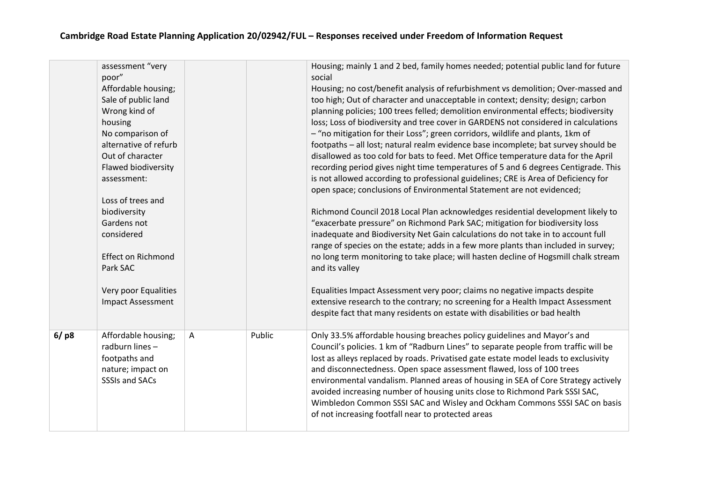|      | assessment "very<br>poor"              |   |        | Housing; mainly 1 and 2 bed, family homes needed; potential public land for future<br>social                                                                    |
|------|----------------------------------------|---|--------|-----------------------------------------------------------------------------------------------------------------------------------------------------------------|
|      | Affordable housing;                    |   |        | Housing; no cost/benefit analysis of refurbishment vs demolition; Over-massed and                                                                               |
|      | Sale of public land                    |   |        | too high; Out of character and unacceptable in context; density; design; carbon                                                                                 |
|      | Wrong kind of                          |   |        | planning policies; 100 trees felled; demolition environmental effects; biodiversity                                                                             |
|      | housing                                |   |        | loss; Loss of biodiversity and tree cover in GARDENS not considered in calculations                                                                             |
|      | No comparison of                       |   |        | - "no mitigation for their Loss"; green corridors, wildlife and plants, 1km of                                                                                  |
|      | alternative of refurb                  |   |        | footpaths - all lost; natural realm evidence base incomplete; bat survey should be                                                                              |
|      | Out of character                       |   |        | disallowed as too cold for bats to feed. Met Office temperature data for the April                                                                              |
|      | Flawed biodiversity                    |   |        | recording period gives night time temperatures of 5 and 6 degrees Centigrade. This                                                                              |
|      | assessment:                            |   |        | is not allowed according to professional guidelines; CRE is Area of Deficiency for                                                                              |
|      |                                        |   |        | open space; conclusions of Environmental Statement are not evidenced;                                                                                           |
|      | Loss of trees and                      |   |        |                                                                                                                                                                 |
|      | biodiversity                           |   |        | Richmond Council 2018 Local Plan acknowledges residential development likely to                                                                                 |
|      | Gardens not                            |   |        | "exacerbate pressure" on Richmond Park SAC; mitigation for biodiversity loss                                                                                    |
|      | considered                             |   |        | inadequate and Biodiversity Net Gain calculations do not take in to account full                                                                                |
|      |                                        |   |        | range of species on the estate; adds in a few more plants than included in survey;                                                                              |
|      | <b>Effect on Richmond</b>              |   |        | no long term monitoring to take place; will hasten decline of Hogsmill chalk stream                                                                             |
|      | Park SAC                               |   |        | and its valley                                                                                                                                                  |
|      |                                        |   |        |                                                                                                                                                                 |
|      | Very poor Equalities                   |   |        | Equalities Impact Assessment very poor; claims no negative impacts despite                                                                                      |
|      | <b>Impact Assessment</b>               |   |        | extensive research to the contrary; no screening for a Health Impact Assessment                                                                                 |
|      |                                        |   |        | despite fact that many residents on estate with disabilities or bad health                                                                                      |
|      |                                        |   | Public |                                                                                                                                                                 |
| 6/p8 | Affordable housing;<br>radburn lines - | Α |        | Only 33.5% affordable housing breaches policy guidelines and Mayor's and<br>Council's policies. 1 km of "Radburn Lines" to separate people from traffic will be |
|      | footpaths and                          |   |        | lost as alleys replaced by roads. Privatised gate estate model leads to exclusivity                                                                             |
|      | nature; impact on                      |   |        | and disconnectedness. Open space assessment flawed, loss of 100 trees                                                                                           |
|      | <b>SSSIs and SACs</b>                  |   |        | environmental vandalism. Planned areas of housing in SEA of Core Strategy actively                                                                              |
|      |                                        |   |        | avoided increasing number of housing units close to Richmond Park SSSI SAC,                                                                                     |
|      |                                        |   |        | Wimbledon Common SSSI SAC and Wisley and Ockham Commons SSSI SAC on basis                                                                                       |
|      |                                        |   |        | of not increasing footfall near to protected areas                                                                                                              |
|      |                                        |   |        |                                                                                                                                                                 |
|      |                                        |   |        |                                                                                                                                                                 |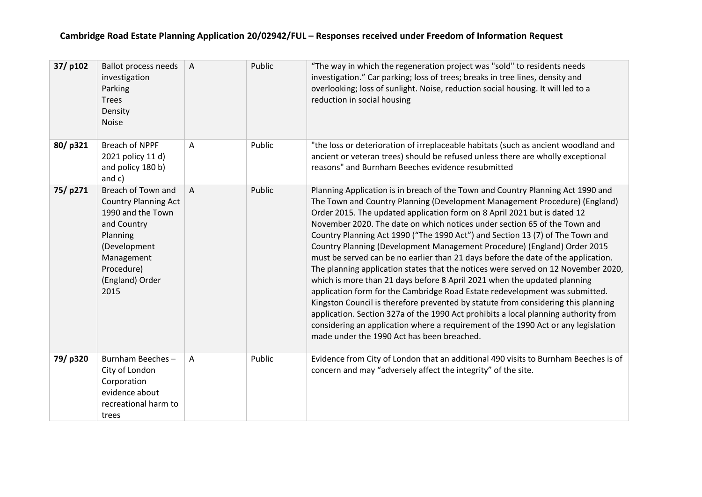| 37/p102 | <b>Ballot process needs</b><br>investigation<br>Parking<br><b>Trees</b><br>Density<br><b>Noise</b>                                                                       | $\overline{A}$ | Public | "The way in which the regeneration project was "sold" to residents needs<br>investigation." Car parking; loss of trees; breaks in tree lines, density and<br>overlooking; loss of sunlight. Noise, reduction social housing. It will led to a<br>reduction in social housing                                                                                                                                                                                                                                                                                                                                                                                                                                                                                                                                                                                                                                                                                                                                                                                                                                                            |
|---------|--------------------------------------------------------------------------------------------------------------------------------------------------------------------------|----------------|--------|-----------------------------------------------------------------------------------------------------------------------------------------------------------------------------------------------------------------------------------------------------------------------------------------------------------------------------------------------------------------------------------------------------------------------------------------------------------------------------------------------------------------------------------------------------------------------------------------------------------------------------------------------------------------------------------------------------------------------------------------------------------------------------------------------------------------------------------------------------------------------------------------------------------------------------------------------------------------------------------------------------------------------------------------------------------------------------------------------------------------------------------------|
| 80/p321 | Breach of NPPF<br>2021 policy 11 d)<br>and policy 180 b)<br>and c)                                                                                                       | Α              | Public | "the loss or deterioration of irreplaceable habitats (such as ancient woodland and<br>ancient or veteran trees) should be refused unless there are wholly exceptional<br>reasons" and Burnham Beeches evidence resubmitted                                                                                                                                                                                                                                                                                                                                                                                                                                                                                                                                                                                                                                                                                                                                                                                                                                                                                                              |
| 75/p271 | Breach of Town and<br><b>Country Planning Act</b><br>1990 and the Town<br>and Country<br>Planning<br>(Development<br>Management<br>Procedure)<br>(England) Order<br>2015 | A              | Public | Planning Application is in breach of the Town and Country Planning Act 1990 and<br>The Town and Country Planning (Development Management Procedure) (England)<br>Order 2015. The updated application form on 8 April 2021 but is dated 12<br>November 2020. The date on which notices under section 65 of the Town and<br>Country Planning Act 1990 ("The 1990 Act") and Section 13 (7) of The Town and<br>Country Planning (Development Management Procedure) (England) Order 2015<br>must be served can be no earlier than 21 days before the date of the application.<br>The planning application states that the notices were served on 12 November 2020,<br>which is more than 21 days before 8 April 2021 when the updated planning<br>application form for the Cambridge Road Estate redevelopment was submitted.<br>Kingston Council is therefore prevented by statute from considering this planning<br>application. Section 327a of the 1990 Act prohibits a local planning authority from<br>considering an application where a requirement of the 1990 Act or any legislation<br>made under the 1990 Act has been breached. |
| 79/p320 | Burnham Beeches-<br>City of London<br>Corporation<br>evidence about<br>recreational harm to<br>trees                                                                     | A              | Public | Evidence from City of London that an additional 490 visits to Burnham Beeches is of<br>concern and may "adversely affect the integrity" of the site.                                                                                                                                                                                                                                                                                                                                                                                                                                                                                                                                                                                                                                                                                                                                                                                                                                                                                                                                                                                    |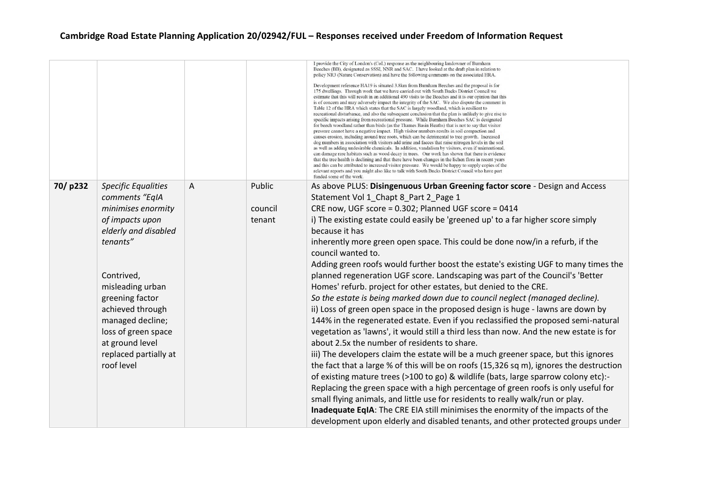|         |                            |   |         | I provide the City of London's (CoL) response as the neighbouring landowner of Burnham<br>Beeches (BB), designated as SSSI, NNR and SAC. I have looked at the draft plan in relation to<br>policy NR3 (Nature Conservation) and have the following comments on the associated HRA.<br>Development reference HA19 is situated 3.8km from Burnham Beeches and the proposal is for<br>175 dwellings. Through work that we have carried out with South Bucks District Council we<br>estimate that this will result in an additional 490 visits to the Beeches and it is our opinion that this<br>is of concern and may adversely impact the integrity of the SAC. We also dispute the comment in<br>Table 12 of the HRA which states that the SAC is largely woodland, which is resilient to<br>recreational disturbance, and also the subsequent conclusion that the plan is unlikely to give rise to<br>specific impacts arising from recreational pressure. While Burnham Beeches SAC is designated<br>for beech woodland rather than birds (as the Thames Basin Heaths) that is not to say that visitor<br>pressure cannot have a negative impact. High visitor numbers results in soil compaction and<br>causes erosion, including around tree roots, which can be detrimental to tree growth. Increased<br>dog numbers in association with visitors add urine and faeces that raise nitrogen levels in the soil<br>as well as adding undesirable chemicals. In addition, vandalism by visitors, even if unintentional,<br>can damage rare habitats such as wood decay in trees. Our work has shown that there is evidence<br>that the tree health is declining and that there have been changes in the lichen flora in recent years<br>and this can be attributed to increased visitor pressure. We would be happy to supply copies of the<br>relevant reports and you might also like to talk with South Bucks District Council who have part<br>funded some of the work. |
|---------|----------------------------|---|---------|------------------------------------------------------------------------------------------------------------------------------------------------------------------------------------------------------------------------------------------------------------------------------------------------------------------------------------------------------------------------------------------------------------------------------------------------------------------------------------------------------------------------------------------------------------------------------------------------------------------------------------------------------------------------------------------------------------------------------------------------------------------------------------------------------------------------------------------------------------------------------------------------------------------------------------------------------------------------------------------------------------------------------------------------------------------------------------------------------------------------------------------------------------------------------------------------------------------------------------------------------------------------------------------------------------------------------------------------------------------------------------------------------------------------------------------------------------------------------------------------------------------------------------------------------------------------------------------------------------------------------------------------------------------------------------------------------------------------------------------------------------------------------------------------------------------------------------------------------------------------------------------------------------------------------------------------------------------------------|
| 70/p232 | <b>Specific Equalities</b> | A | Public  | As above PLUS: Disingenuous Urban Greening factor score - Design and Access                                                                                                                                                                                                                                                                                                                                                                                                                                                                                                                                                                                                                                                                                                                                                                                                                                                                                                                                                                                                                                                                                                                                                                                                                                                                                                                                                                                                                                                                                                                                                                                                                                                                                                                                                                                                                                                                                                  |
|         | comments "EqIA             |   |         | Statement Vol 1 Chapt 8 Part 2 Page 1                                                                                                                                                                                                                                                                                                                                                                                                                                                                                                                                                                                                                                                                                                                                                                                                                                                                                                                                                                                                                                                                                                                                                                                                                                                                                                                                                                                                                                                                                                                                                                                                                                                                                                                                                                                                                                                                                                                                        |
|         | minimises enormity         |   | council | CRE now, UGF score = 0.302; Planned UGF score = 0414                                                                                                                                                                                                                                                                                                                                                                                                                                                                                                                                                                                                                                                                                                                                                                                                                                                                                                                                                                                                                                                                                                                                                                                                                                                                                                                                                                                                                                                                                                                                                                                                                                                                                                                                                                                                                                                                                                                         |
|         | of impacts upon            |   | tenant  | i) The existing estate could easily be 'greened up' to a far higher score simply                                                                                                                                                                                                                                                                                                                                                                                                                                                                                                                                                                                                                                                                                                                                                                                                                                                                                                                                                                                                                                                                                                                                                                                                                                                                                                                                                                                                                                                                                                                                                                                                                                                                                                                                                                                                                                                                                             |
|         | elderly and disabled       |   |         | because it has                                                                                                                                                                                                                                                                                                                                                                                                                                                                                                                                                                                                                                                                                                                                                                                                                                                                                                                                                                                                                                                                                                                                                                                                                                                                                                                                                                                                                                                                                                                                                                                                                                                                                                                                                                                                                                                                                                                                                               |
|         | tenants"                   |   |         | inherently more green open space. This could be done now/in a refurb, if the                                                                                                                                                                                                                                                                                                                                                                                                                                                                                                                                                                                                                                                                                                                                                                                                                                                                                                                                                                                                                                                                                                                                                                                                                                                                                                                                                                                                                                                                                                                                                                                                                                                                                                                                                                                                                                                                                                 |
|         |                            |   |         | council wanted to.                                                                                                                                                                                                                                                                                                                                                                                                                                                                                                                                                                                                                                                                                                                                                                                                                                                                                                                                                                                                                                                                                                                                                                                                                                                                                                                                                                                                                                                                                                                                                                                                                                                                                                                                                                                                                                                                                                                                                           |
|         |                            |   |         | Adding green roofs would further boost the estate's existing UGF to many times the                                                                                                                                                                                                                                                                                                                                                                                                                                                                                                                                                                                                                                                                                                                                                                                                                                                                                                                                                                                                                                                                                                                                                                                                                                                                                                                                                                                                                                                                                                                                                                                                                                                                                                                                                                                                                                                                                           |
|         | Contrived,                 |   |         | planned regeneration UGF score. Landscaping was part of the Council's 'Better                                                                                                                                                                                                                                                                                                                                                                                                                                                                                                                                                                                                                                                                                                                                                                                                                                                                                                                                                                                                                                                                                                                                                                                                                                                                                                                                                                                                                                                                                                                                                                                                                                                                                                                                                                                                                                                                                                |
|         | misleading urban           |   |         | Homes' refurb. project for other estates, but denied to the CRE.                                                                                                                                                                                                                                                                                                                                                                                                                                                                                                                                                                                                                                                                                                                                                                                                                                                                                                                                                                                                                                                                                                                                                                                                                                                                                                                                                                                                                                                                                                                                                                                                                                                                                                                                                                                                                                                                                                             |
|         | greening factor            |   |         | So the estate is being marked down due to council neglect (managed decline).                                                                                                                                                                                                                                                                                                                                                                                                                                                                                                                                                                                                                                                                                                                                                                                                                                                                                                                                                                                                                                                                                                                                                                                                                                                                                                                                                                                                                                                                                                                                                                                                                                                                                                                                                                                                                                                                                                 |
|         | achieved through           |   |         | ii) Loss of green open space in the proposed design is huge - lawns are down by                                                                                                                                                                                                                                                                                                                                                                                                                                                                                                                                                                                                                                                                                                                                                                                                                                                                                                                                                                                                                                                                                                                                                                                                                                                                                                                                                                                                                                                                                                                                                                                                                                                                                                                                                                                                                                                                                              |
|         | managed decline;           |   |         | 144% in the regenerated estate. Even if you reclassified the proposed semi-natural                                                                                                                                                                                                                                                                                                                                                                                                                                                                                                                                                                                                                                                                                                                                                                                                                                                                                                                                                                                                                                                                                                                                                                                                                                                                                                                                                                                                                                                                                                                                                                                                                                                                                                                                                                                                                                                                                           |
|         | loss of green space        |   |         | vegetation as 'lawns', it would still a third less than now. And the new estate is for                                                                                                                                                                                                                                                                                                                                                                                                                                                                                                                                                                                                                                                                                                                                                                                                                                                                                                                                                                                                                                                                                                                                                                                                                                                                                                                                                                                                                                                                                                                                                                                                                                                                                                                                                                                                                                                                                       |
|         | at ground level            |   |         | about 2.5x the number of residents to share.                                                                                                                                                                                                                                                                                                                                                                                                                                                                                                                                                                                                                                                                                                                                                                                                                                                                                                                                                                                                                                                                                                                                                                                                                                                                                                                                                                                                                                                                                                                                                                                                                                                                                                                                                                                                                                                                                                                                 |
|         | replaced partially at      |   |         | iii) The developers claim the estate will be a much greener space, but this ignores                                                                                                                                                                                                                                                                                                                                                                                                                                                                                                                                                                                                                                                                                                                                                                                                                                                                                                                                                                                                                                                                                                                                                                                                                                                                                                                                                                                                                                                                                                                                                                                                                                                                                                                                                                                                                                                                                          |
|         | roof level                 |   |         | the fact that a large % of this will be on roofs (15,326 sq m), ignores the destruction                                                                                                                                                                                                                                                                                                                                                                                                                                                                                                                                                                                                                                                                                                                                                                                                                                                                                                                                                                                                                                                                                                                                                                                                                                                                                                                                                                                                                                                                                                                                                                                                                                                                                                                                                                                                                                                                                      |
|         |                            |   |         | of existing mature trees (>100 to go) & wildlife (bats, large sparrow colony etc):-                                                                                                                                                                                                                                                                                                                                                                                                                                                                                                                                                                                                                                                                                                                                                                                                                                                                                                                                                                                                                                                                                                                                                                                                                                                                                                                                                                                                                                                                                                                                                                                                                                                                                                                                                                                                                                                                                          |
|         |                            |   |         | Replacing the green space with a high percentage of green roofs is only useful for                                                                                                                                                                                                                                                                                                                                                                                                                                                                                                                                                                                                                                                                                                                                                                                                                                                                                                                                                                                                                                                                                                                                                                                                                                                                                                                                                                                                                                                                                                                                                                                                                                                                                                                                                                                                                                                                                           |
|         |                            |   |         | small flying animals, and little use for residents to really walk/run or play.                                                                                                                                                                                                                                                                                                                                                                                                                                                                                                                                                                                                                                                                                                                                                                                                                                                                                                                                                                                                                                                                                                                                                                                                                                                                                                                                                                                                                                                                                                                                                                                                                                                                                                                                                                                                                                                                                               |
|         |                            |   |         | Inadequate EqIA: The CRE EIA still minimises the enormity of the impacts of the                                                                                                                                                                                                                                                                                                                                                                                                                                                                                                                                                                                                                                                                                                                                                                                                                                                                                                                                                                                                                                                                                                                                                                                                                                                                                                                                                                                                                                                                                                                                                                                                                                                                                                                                                                                                                                                                                              |
|         |                            |   |         | development upon elderly and disabled tenants, and other protected groups under                                                                                                                                                                                                                                                                                                                                                                                                                                                                                                                                                                                                                                                                                                                                                                                                                                                                                                                                                                                                                                                                                                                                                                                                                                                                                                                                                                                                                                                                                                                                                                                                                                                                                                                                                                                                                                                                                              |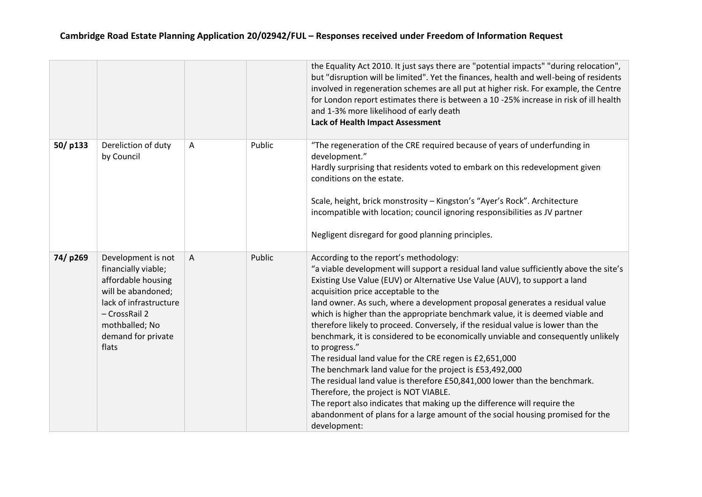|         |                                                                                                                                                                                   |   |        | the Equality Act 2010. It just says there are "potential impacts" "during relocation",<br>but "disruption will be limited". Yet the finances, health and well-being of residents<br>involved in regeneration schemes are all put at higher risk. For example, the Centre<br>for London report estimates there is between a 10 -25% increase in risk of ill health<br>and 1-3% more likelihood of early death<br><b>Lack of Health Impact Assessment</b>                                                                                                                                                                                                                                                                                                                                                                                                                                                                                                                                                                                     |
|---------|-----------------------------------------------------------------------------------------------------------------------------------------------------------------------------------|---|--------|---------------------------------------------------------------------------------------------------------------------------------------------------------------------------------------------------------------------------------------------------------------------------------------------------------------------------------------------------------------------------------------------------------------------------------------------------------------------------------------------------------------------------------------------------------------------------------------------------------------------------------------------------------------------------------------------------------------------------------------------------------------------------------------------------------------------------------------------------------------------------------------------------------------------------------------------------------------------------------------------------------------------------------------------|
| 50/p133 | Dereliction of duty<br>by Council                                                                                                                                                 | A | Public | "The regeneration of the CRE required because of years of underfunding in<br>development."<br>Hardly surprising that residents voted to embark on this redevelopment given<br>conditions on the estate.<br>Scale, height, brick monstrosity - Kingston's "Ayer's Rock". Architecture<br>incompatible with location; council ignoring responsibilities as JV partner<br>Negligent disregard for good planning principles.                                                                                                                                                                                                                                                                                                                                                                                                                                                                                                                                                                                                                    |
| 74/p269 | Development is not<br>financially viable;<br>affordable housing<br>will be abandoned;<br>lack of infrastructure<br>- CrossRail 2<br>mothballed; No<br>demand for private<br>flats | A | Public | According to the report's methodology:<br>"a viable development will support a residual land value sufficiently above the site's<br>Existing Use Value (EUV) or Alternative Use Value (AUV), to support a land<br>acquisition price acceptable to the<br>land owner. As such, where a development proposal generates a residual value<br>which is higher than the appropriate benchmark value, it is deemed viable and<br>therefore likely to proceed. Conversely, if the residual value is lower than the<br>benchmark, it is considered to be economically unviable and consequently unlikely<br>to progress."<br>The residual land value for the CRE regen is £2,651,000<br>The benchmark land value for the project is £53,492,000<br>The residual land value is therefore £50,841,000 lower than the benchmark.<br>Therefore, the project is NOT VIABLE.<br>The report also indicates that making up the difference will require the<br>abandonment of plans for a large amount of the social housing promised for the<br>development: |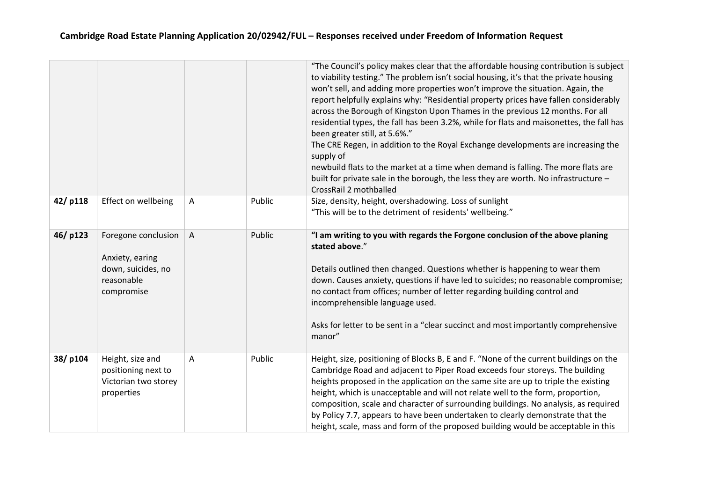|         |                                                                                          |                |        | "The Council's policy makes clear that the affordable housing contribution is subject<br>to viability testing." The problem isn't social housing, it's that the private housing<br>won't sell, and adding more properties won't improve the situation. Again, the<br>report helpfully explains why: "Residential property prices have fallen considerably<br>across the Borough of Kingston Upon Thames in the previous 12 months. For all<br>residential types, the fall has been 3.2%, while for flats and maisonettes, the fall has<br>been greater still, at 5.6%."<br>The CRE Regen, in addition to the Royal Exchange developments are increasing the<br>supply of<br>newbuild flats to the market at a time when demand is falling. The more flats are<br>built for private sale in the borough, the less they are worth. No infrastructure -<br>CrossRail 2 mothballed |
|---------|------------------------------------------------------------------------------------------|----------------|--------|--------------------------------------------------------------------------------------------------------------------------------------------------------------------------------------------------------------------------------------------------------------------------------------------------------------------------------------------------------------------------------------------------------------------------------------------------------------------------------------------------------------------------------------------------------------------------------------------------------------------------------------------------------------------------------------------------------------------------------------------------------------------------------------------------------------------------------------------------------------------------------|
| 42/p118 | Effect on wellbeing                                                                      | $\mathsf{A}$   | Public | Size, density, height, overshadowing. Loss of sunlight<br>"This will be to the detriment of residents' wellbeing."                                                                                                                                                                                                                                                                                                                                                                                                                                                                                                                                                                                                                                                                                                                                                             |
| 46/p123 | Foregone conclusion<br>Anxiety, earing<br>down, suicides, no<br>reasonable<br>compromise | $\overline{A}$ | Public | "I am writing to you with regards the Forgone conclusion of the above planing<br>stated above."<br>Details outlined then changed. Questions whether is happening to wear them<br>down. Causes anxiety, questions if have led to suicides; no reasonable compromise;<br>no contact from offices; number of letter regarding building control and<br>incomprehensible language used.<br>Asks for letter to be sent in a "clear succinct and most importantly comprehensive<br>manor"                                                                                                                                                                                                                                                                                                                                                                                             |
| 38/p104 | Height, size and<br>positioning next to<br>Victorian two storey<br>properties            | A              | Public | Height, size, positioning of Blocks B, E and F. "None of the current buildings on the<br>Cambridge Road and adjacent to Piper Road exceeds four storeys. The building<br>heights proposed in the application on the same site are up to triple the existing<br>height, which is unacceptable and will not relate well to the form, proportion,<br>composition, scale and character of surrounding buildings. No analysis, as required<br>by Policy 7.7, appears to have been undertaken to clearly demonstrate that the<br>height, scale, mass and form of the proposed building would be acceptable in this                                                                                                                                                                                                                                                                   |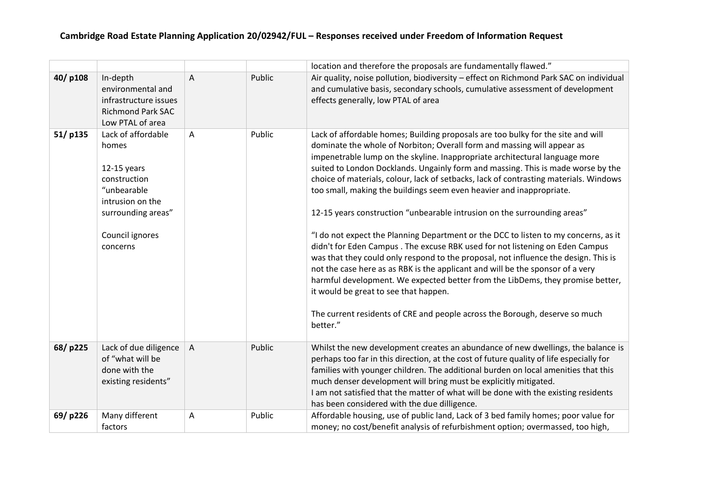|         |                                                                                                                                                      |                |        | location and therefore the proposals are fundamentally flawed."                                                                                                                                                                                                                                                                                                                                                                                                                                                                                                                                                                                                                                                                                                                                                                                                                                                                                                                                                                                                                                                                                   |
|---------|------------------------------------------------------------------------------------------------------------------------------------------------------|----------------|--------|---------------------------------------------------------------------------------------------------------------------------------------------------------------------------------------------------------------------------------------------------------------------------------------------------------------------------------------------------------------------------------------------------------------------------------------------------------------------------------------------------------------------------------------------------------------------------------------------------------------------------------------------------------------------------------------------------------------------------------------------------------------------------------------------------------------------------------------------------------------------------------------------------------------------------------------------------------------------------------------------------------------------------------------------------------------------------------------------------------------------------------------------------|
| 40/p108 | In-depth<br>environmental and<br>infrastructure issues<br><b>Richmond Park SAC</b><br>Low PTAL of area                                               | $\overline{A}$ | Public | Air quality, noise pollution, biodiversity - effect on Richmond Park SAC on individual<br>and cumulative basis, secondary schools, cumulative assessment of development<br>effects generally, low PTAL of area                                                                                                                                                                                                                                                                                                                                                                                                                                                                                                                                                                                                                                                                                                                                                                                                                                                                                                                                    |
| 51/p135 | Lack of affordable<br>homes<br>$12-15$ years<br>construction<br>"unbearable<br>intrusion on the<br>surrounding areas"<br>Council ignores<br>concerns | A              | Public | Lack of affordable homes; Building proposals are too bulky for the site and will<br>dominate the whole of Norbiton; Overall form and massing will appear as<br>impenetrable lump on the skyline. Inappropriate architectural language more<br>suited to London Docklands. Ungainly form and massing. This is made worse by the<br>choice of materials, colour, lack of setbacks, lack of contrasting materials. Windows<br>too small, making the buildings seem even heavier and inappropriate.<br>12-15 years construction "unbearable intrusion on the surrounding areas"<br>"I do not expect the Planning Department or the DCC to listen to my concerns, as it<br>didn't for Eden Campus. The excuse RBK used for not listening on Eden Campus<br>was that they could only respond to the proposal, not influence the design. This is<br>not the case here as as RBK is the applicant and will be the sponsor of a very<br>harmful development. We expected better from the LibDems, they promise better,<br>it would be great to see that happen.<br>The current residents of CRE and people across the Borough, deserve so much<br>better." |
| 68/p225 | Lack of due diligence<br>of "what will be<br>done with the<br>existing residents"                                                                    | $\overline{A}$ | Public | Whilst the new development creates an abundance of new dwellings, the balance is<br>perhaps too far in this direction, at the cost of future quality of life especially for<br>families with younger children. The additional burden on local amenities that this<br>much denser development will bring must be explicitly mitigated.<br>I am not satisfied that the matter of what will be done with the existing residents<br>has been considered with the due dilligence.                                                                                                                                                                                                                                                                                                                                                                                                                                                                                                                                                                                                                                                                      |
| 69/p226 | Many different<br>factors                                                                                                                            | A              | Public | Affordable housing, use of public land, Lack of 3 bed family homes; poor value for<br>money; no cost/benefit analysis of refurbishment option; overmassed, too high,                                                                                                                                                                                                                                                                                                                                                                                                                                                                                                                                                                                                                                                                                                                                                                                                                                                                                                                                                                              |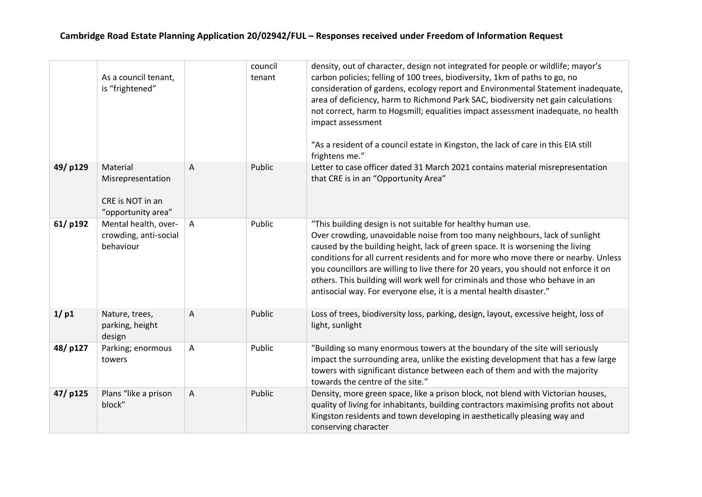|         | As a council tenant,<br>is "frightened"                                 |                | council<br>tenant | density, out of character, design not integrated for people or wildlife; mayor's<br>carbon policies; felling of 100 trees, biodiversity, 1km of paths to go, no<br>consideration of gardens, ecology report and Environmental Statement inadequate,<br>area of deficiency, harm to Richmond Park SAC, biodiversity net gain calculations<br>not correct, harm to Hogsmill; equalities impact assessment inadequate, no health<br>impact assessment<br>"As a resident of a council estate in Kingston, the lack of care in this EIA still<br>frightens me."          |
|---------|-------------------------------------------------------------------------|----------------|-------------------|---------------------------------------------------------------------------------------------------------------------------------------------------------------------------------------------------------------------------------------------------------------------------------------------------------------------------------------------------------------------------------------------------------------------------------------------------------------------------------------------------------------------------------------------------------------------|
| 49/p129 | Material<br>Misrepresentation<br>CRE is NOT in an<br>"opportunity area" | $\overline{A}$ | Public            | Letter to case officer dated 31 March 2021 contains material misrepresentation<br>that CRE is in an "Opportunity Area"                                                                                                                                                                                                                                                                                                                                                                                                                                              |
| 61/p192 | Mental health, over-<br>crowding, anti-social<br>behaviour              | A              | Public            | "This building design is not suitable for healthy human use.<br>Over crowding, unavoidable noise from too many neighbours, lack of sunlight<br>caused by the building height, lack of green space. It is worsening the living<br>conditions for all current residents and for more who move there or nearby. Unless<br>you councillors are willing to live there for 20 years, you should not enforce it on<br>others. This building will work well for criminals and those who behave in an<br>antisocial way. For everyone else, it is a mental health disaster." |
| 1/p1    | Nature, trees,<br>parking, height<br>design                             | A              | Public            | Loss of trees, biodiversity loss, parking, design, layout, excessive height, loss of<br>light, sunlight                                                                                                                                                                                                                                                                                                                                                                                                                                                             |
| 48/p127 | Parking; enormous<br>towers                                             | A              | Public            | "Building so many enormous towers at the boundary of the site will seriously<br>impact the surrounding area, unlike the existing development that has a few large<br>towers with significant distance between each of them and with the majority<br>towards the centre of the site."                                                                                                                                                                                                                                                                                |
| 47/p125 | Plans "like a prison<br>block"                                          | Α              | Public            | Density, more green space, like a prison block, not blend with Victorian houses,<br>quality of living for inhabitants, building contractors maximising profits not about<br>Kingston residents and town developing in aesthetically pleasing way and<br>conserving character                                                                                                                                                                                                                                                                                        |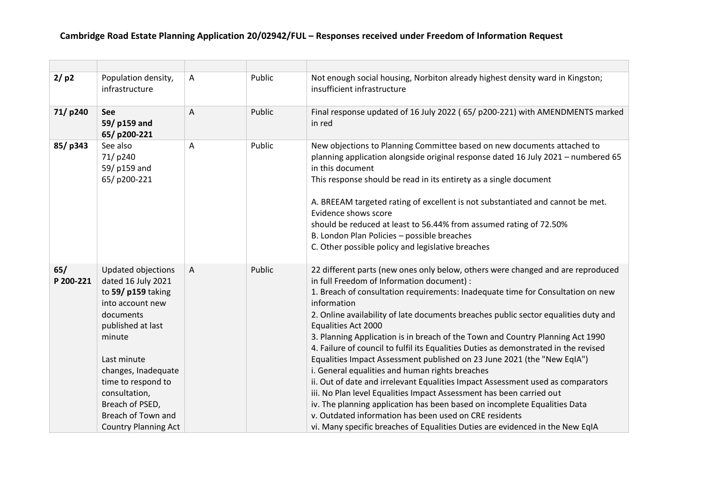| 2/p2             | Population density,<br>infrastructure                                                                                                                                                                                                                                               | Α | Public | Not enough social housing, Norbiton already highest density ward in Kingston;<br>insufficient infrastructure                                                                                                                                                                                                                                                                                                                                                                                                                                                                                                                                                                                                                                                                                                                                                                                                                                                                                                                             |
|------------------|-------------------------------------------------------------------------------------------------------------------------------------------------------------------------------------------------------------------------------------------------------------------------------------|---|--------|------------------------------------------------------------------------------------------------------------------------------------------------------------------------------------------------------------------------------------------------------------------------------------------------------------------------------------------------------------------------------------------------------------------------------------------------------------------------------------------------------------------------------------------------------------------------------------------------------------------------------------------------------------------------------------------------------------------------------------------------------------------------------------------------------------------------------------------------------------------------------------------------------------------------------------------------------------------------------------------------------------------------------------------|
| 71/p240          | <b>See</b><br>59/ p159 and<br>65/p200-221                                                                                                                                                                                                                                           | A | Public | Final response updated of 16 July 2022 (65/ p200-221) with AMENDMENTS marked<br>in red                                                                                                                                                                                                                                                                                                                                                                                                                                                                                                                                                                                                                                                                                                                                                                                                                                                                                                                                                   |
| 85/p343          | See also<br>71/p240<br>59/ p159 and<br>65/p200-221                                                                                                                                                                                                                                  | A | Public | New objections to Planning Committee based on new documents attached to<br>planning application alongside original response dated 16 July 2021 - numbered 65<br>in this document<br>This response should be read in its entirety as a single document<br>A. BREEAM targeted rating of excellent is not substantiated and cannot be met.<br>Evidence shows score<br>should be reduced at least to 56.44% from assumed rating of 72.50%<br>B. London Plan Policies - possible breaches<br>C. Other possible policy and legislative breaches                                                                                                                                                                                                                                                                                                                                                                                                                                                                                                |
| 65/<br>P 200-221 | Updated objections<br>dated 16 July 2021<br>to 59/ p159 taking<br>into account new<br>documents<br>published at last<br>minute<br>Last minute<br>changes, Inadequate<br>time to respond to<br>consultation,<br>Breach of PSED,<br>Breach of Town and<br><b>Country Planning Act</b> | A | Public | 22 different parts (new ones only below, others were changed and are reproduced<br>in full Freedom of Information document) :<br>1. Breach of consultation requirements: Inadequate time for Consultation on new<br>information<br>2. Online availability of late documents breaches public sector equalities duty and<br>Equalities Act 2000<br>3. Planning Application is in breach of the Town and Country Planning Act 1990<br>4. Failure of council to fulfil its Equalities Duties as demonstrated in the revised<br>Equalities Impact Assessment published on 23 June 2021 (the "New EqIA")<br>i. General equalities and human rights breaches<br>ii. Out of date and irrelevant Equalities Impact Assessment used as comparators<br>iii. No Plan level Equalities Impact Assessment has been carried out<br>iv. The planning application has been based on incomplete Equalities Data<br>v. Outdated information has been used on CRE residents<br>vi. Many specific breaches of Equalities Duties are evidenced in the New EqIA |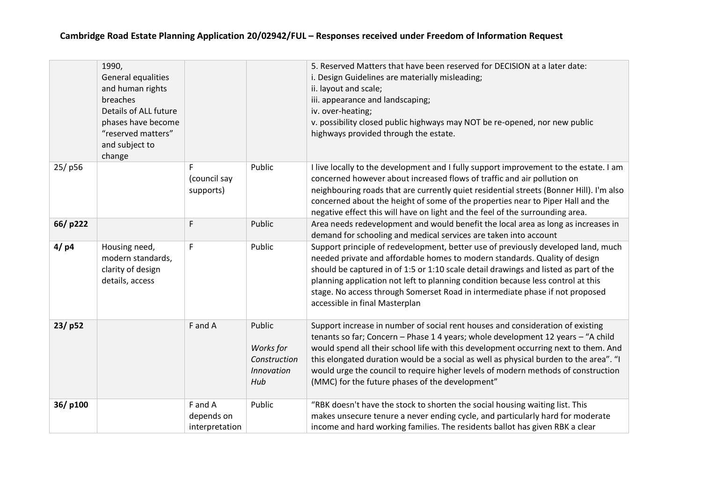|         | 1990,<br>General equalities<br>and human rights<br>breaches<br>Details of ALL future<br>phases have become<br>"reserved matters"<br>and subject to<br>change |                                         |                                                          | 5. Reserved Matters that have been reserved for DECISION at a later date:<br>i. Design Guidelines are materially misleading;<br>ii. layout and scale;<br>iii. appearance and landscaping;<br>iv. over-heating;<br>v. possibility closed public highways may NOT be re-opened, nor new public<br>highways provided through the estate.                                                                                                                                                      |
|---------|--------------------------------------------------------------------------------------------------------------------------------------------------------------|-----------------------------------------|----------------------------------------------------------|--------------------------------------------------------------------------------------------------------------------------------------------------------------------------------------------------------------------------------------------------------------------------------------------------------------------------------------------------------------------------------------------------------------------------------------------------------------------------------------------|
| 25/p56  |                                                                                                                                                              | F<br>(council say<br>supports)          | Public                                                   | I live locally to the development and I fully support improvement to the estate. I am<br>concerned however about increased flows of traffic and air pollution on<br>neighbouring roads that are currently quiet residential streets (Bonner Hill). I'm also<br>concerned about the height of some of the properties near to Piper Hall and the<br>negative effect this will have on light and the feel of the surrounding area.                                                            |
| 66/p222 |                                                                                                                                                              | F                                       | Public                                                   | Area needs redevelopment and would benefit the local area as long as increases in<br>demand for schooling and medical services are taken into account                                                                                                                                                                                                                                                                                                                                      |
| 4/ p4   | Housing need,<br>modern standards,<br>clarity of design<br>details, access                                                                                   | F                                       | Public                                                   | Support principle of redevelopment, better use of previously developed land, much<br>needed private and affordable homes to modern standards. Quality of design<br>should be captured in of 1:5 or 1:10 scale detail drawings and listed as part of the<br>planning application not left to planning condition because less control at this<br>stage. No access through Somerset Road in intermediate phase if not proposed<br>accessible in final Masterplan                              |
| 23/p52  |                                                                                                                                                              | F and A                                 | Public<br>Works for<br>Construction<br>Innovation<br>Hub | Support increase in number of social rent houses and consideration of existing<br>tenants so far; Concern - Phase 1 4 years; whole development 12 years - "A child<br>would spend all their school life with this development occurring next to them. And<br>this elongated duration would be a social as well as physical burden to the area". "I<br>would urge the council to require higher levels of modern methods of construction<br>(MMC) for the future phases of the development" |
| 36/p100 |                                                                                                                                                              | F and A<br>depends on<br>interpretation | Public                                                   | "RBK doesn't have the stock to shorten the social housing waiting list. This<br>makes unsecure tenure a never ending cycle, and particularly hard for moderate<br>income and hard working families. The residents ballot has given RBK a clear                                                                                                                                                                                                                                             |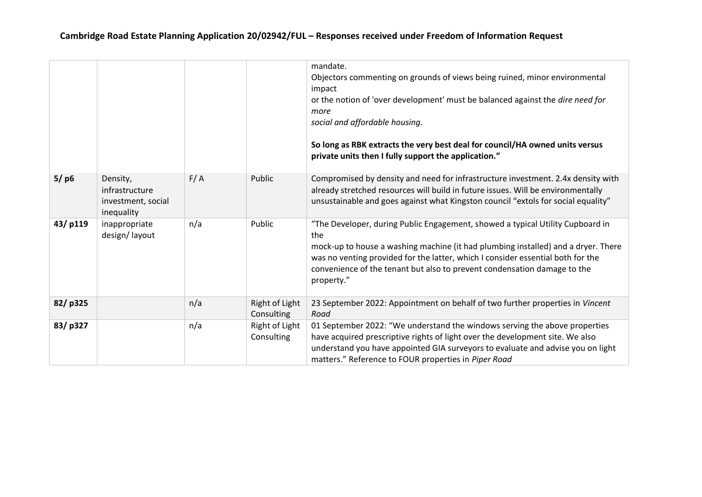|         |                                                                |     |                              | mandate.<br>Objectors commenting on grounds of views being ruined, minor environmental<br>impact<br>or the notion of 'over development' must be balanced against the dire need for<br>more<br>social and affordable housing.<br>So long as RBK extracts the very best deal for council/HA owned units versus<br>private units then I fully support the application." |
|---------|----------------------------------------------------------------|-----|------------------------------|----------------------------------------------------------------------------------------------------------------------------------------------------------------------------------------------------------------------------------------------------------------------------------------------------------------------------------------------------------------------|
| $5/$ p6 | Density,<br>infrastructure<br>investment, social<br>inequality | F/A | Public                       | Compromised by density and need for infrastructure investment. 2.4x density with<br>already stretched resources will build in future issues. Will be environmentally<br>unsustainable and goes against what Kingston council "extols for social equality"                                                                                                            |
| 43/p119 | inappropriate<br>design/layout                                 | n/a | Public                       | "The Developer, during Public Engagement, showed a typical Utility Cupboard in<br>the<br>mock-up to house a washing machine (it had plumbing installed) and a dryer. There<br>was no venting provided for the latter, which I consider essential both for the<br>convenience of the tenant but also to prevent condensation damage to the<br>property."              |
| 82/p325 |                                                                | n/a | Right of Light<br>Consulting | 23 September 2022: Appointment on behalf of two further properties in Vincent<br>Road                                                                                                                                                                                                                                                                                |
| 83/p327 |                                                                | n/a | Right of Light<br>Consulting | 01 September 2022: "We understand the windows serving the above properties<br>have acquired prescriptive rights of light over the development site. We also<br>understand you have appointed GIA surveyors to evaluate and advise you on light<br>matters." Reference to FOUR properties in Piper Road                                                               |